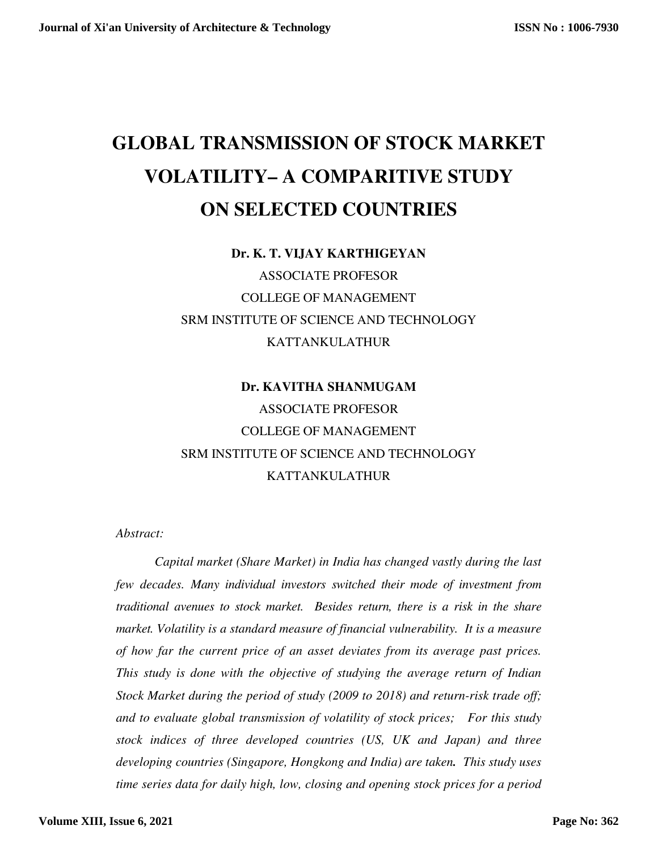# **GLOBAL TRANSMISSION OF STOCK MARKET VOLATILITY– A COMPARITIVE STUDY ON SELECTED COUNTRIES**

# **Dr. K. T. VIJAY KARTHIGEYAN**  ASSOCIATE PROFESOR COLLEGE OF MANAGEMENT SRM INSTITUTE OF SCIENCE AND TECHNOLOGY KATTANKULATHUR

**Dr. KAVITHA SHANMUGAM**  ASSOCIATE PROFESOR COLLEGE OF MANAGEMENT SRM INSTITUTE OF SCIENCE AND TECHNOLOGY KATTANKULATHUR

*Abstract:* 

*Capital market (Share Market) in India has changed vastly during the last few decades. Many individual investors switched their mode of investment from traditional avenues to stock market. Besides return, there is a risk in the share market. Volatility is a standard measure of financial vulnerability. It is a measure of how far the current price of an asset deviates from its average past prices. This study is done with the objective of studying the average return of Indian Stock Market during the period of study (2009 to 2018) and return-risk trade off; and to evaluate global transmission of volatility of stock prices; For this study stock indices of three developed countries (US, UK and Japan) and three developing countries (Singapore, Hongkong and India) are taken. This study uses time series data for daily high, low, closing and opening stock prices for a period*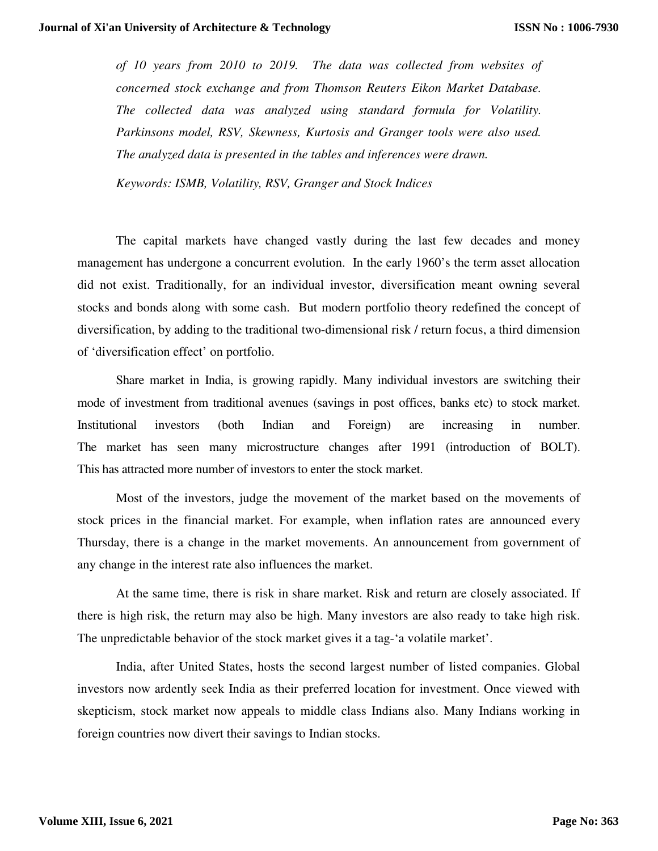*of 10 years from 2010 to 2019. The data was collected from websites of concerned stock exchange and from Thomson Reuters Eikon Market Database. The collected data was analyzed using standard formula for Volatility. Parkinsons model, RSV, Skewness, Kurtosis and Granger tools were also used. The analyzed data is presented in the tables and inferences were drawn.* 

*Keywords: ISMB, Volatility, RSV, Granger and Stock Indices* 

The capital markets have changed vastly during the last few decades and money management has undergone a concurrent evolution. In the early 1960's the term asset allocation did not exist. Traditionally, for an individual investor, diversification meant owning several stocks and bonds along with some cash. But modern portfolio theory redefined the concept of diversification, by adding to the traditional two-dimensional risk / return focus, a third dimension of 'diversification effect' on portfolio.

Share market in India, is growing rapidly. Many individual investors are switching their mode of investment from traditional avenues (savings in post offices, banks etc) to stock market. Institutional investors (both Indian and Foreign) are increasing in number. The market has seen many microstructure changes after 1991 (introduction of BOLT). This has attracted more number of investors to enter the stock market.

 Most of the investors, judge the movement of the market based on the movements of stock prices in the financial market. For example, when inflation rates are announced every Thursday, there is a change in the market movements. An announcement from government of any change in the interest rate also influences the market.

 At the same time, there is risk in share market. Risk and return are closely associated. If there is high risk, the return may also be high. Many investors are also ready to take high risk. The unpredictable behavior of the stock market gives it a tag-'a volatile market'.

India, after United States, hosts the second largest number of listed companies. Global investors now ardently seek India as their preferred location for investment. Once viewed with skepticism, stock market now appeals to middle class Indians also. Many Indians working in foreign countries now divert their savings to Indian stocks.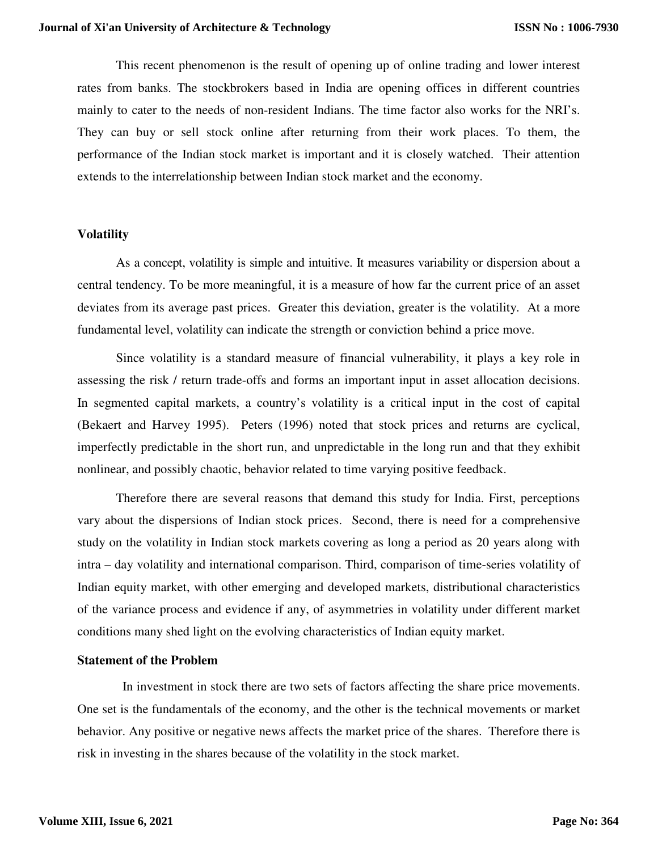This recent phenomenon is the result of opening up of online trading and lower interest rates from banks. The stockbrokers based in India are opening offices in different countries mainly to cater to the needs of non-resident Indians. The time factor also works for the NRI's. They can buy or sell stock online after returning from their work places. To them, the performance of the Indian stock market is important and it is closely watched. Their attention extends to the interrelationship between Indian stock market and the economy.

#### **Volatility**

 As a concept, volatility is simple and intuitive. It measures variability or dispersion about a central tendency. To be more meaningful, it is a measure of how far the current price of an asset deviates from its average past prices. Greater this deviation, greater is the volatility. At a more fundamental level, volatility can indicate the strength or conviction behind a price move.

 Since volatility is a standard measure of financial vulnerability, it plays a key role in assessing the risk / return trade-offs and forms an important input in asset allocation decisions. In segmented capital markets, a country's volatility is a critical input in the cost of capital (Bekaert and Harvey 1995). Peters (1996) noted that stock prices and returns are cyclical, imperfectly predictable in the short run, and unpredictable in the long run and that they exhibit nonlinear, and possibly chaotic, behavior related to time varying positive feedback.

Therefore there are several reasons that demand this study for India. First, perceptions vary about the dispersions of Indian stock prices. Second, there is need for a comprehensive study on the volatility in Indian stock markets covering as long a period as 20 years along with intra – day volatility and international comparison. Third, comparison of time-series volatility of Indian equity market, with other emerging and developed markets, distributional characteristics of the variance process and evidence if any, of asymmetries in volatility under different market conditions many shed light on the evolving characteristics of Indian equity market.

#### **Statement of the Problem**

 In investment in stock there are two sets of factors affecting the share price movements. One set is the fundamentals of the economy, and the other is the technical movements or market behavior. Any positive or negative news affects the market price of the shares. Therefore there is risk in investing in the shares because of the volatility in the stock market.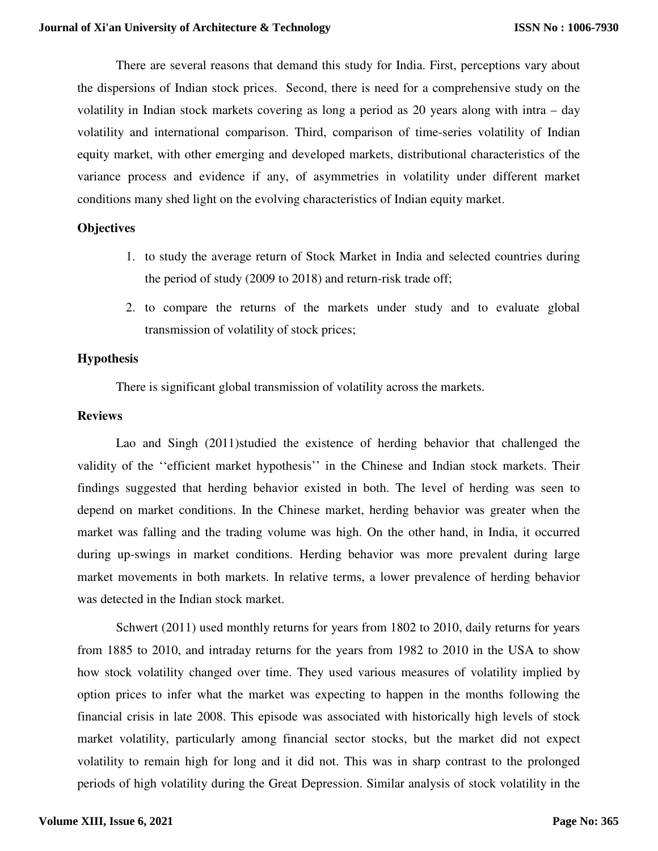There are several reasons that demand this study for India. First, perceptions vary about the dispersions of Indian stock prices. Second, there is need for a comprehensive study on the volatility in Indian stock markets covering as long a period as 20 years along with intra – day volatility and international comparison. Third, comparison of time-series volatility of Indian equity market, with other emerging and developed markets, distributional characteristics of the variance process and evidence if any, of asymmetries in volatility under different market conditions many shed light on the evolving characteristics of Indian equity market.

#### **Objectives**

- 1. to study the average return of Stock Market in India and selected countries during the period of study (2009 to 2018) and return-risk trade off;
- 2. to compare the returns of the markets under study and to evaluate global transmission of volatility of stock prices;

#### **Hypothesis**

There is significant global transmission of volatility across the markets.

#### **Reviews**

Lao and Singh (2011)studied the existence of herding behavior that challenged the validity of the ''efficient market hypothesis'' in the Chinese and Indian stock markets. Their findings suggested that herding behavior existed in both. The level of herding was seen to depend on market conditions. In the Chinese market, herding behavior was greater when the market was falling and the trading volume was high. On the other hand, in India, it occurred during up-swings in market conditions. Herding behavior was more prevalent during large market movements in both markets. In relative terms, a lower prevalence of herding behavior was detected in the Indian stock market.

Schwert (2011) used monthly returns for years from 1802 to 2010, daily returns for years from 1885 to 2010, and intraday returns for the years from 1982 to 2010 in the USA to show how stock volatility changed over time. They used various measures of volatility implied by option prices to infer what the market was expecting to happen in the months following the financial crisis in late 2008. This episode was associated with historically high levels of stock market volatility, particularly among financial sector stocks, but the market did not expect volatility to remain high for long and it did not. This was in sharp contrast to the prolonged periods of high volatility during the Great Depression. Similar analysis of stock volatility in the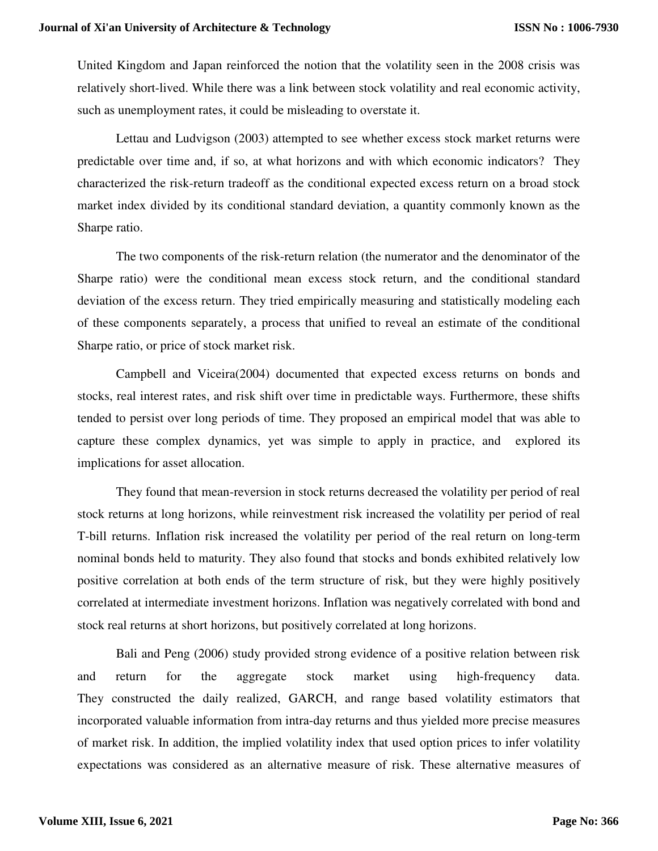United Kingdom and Japan reinforced the notion that the volatility seen in the 2008 crisis was relatively short-lived. While there was a link between stock volatility and real economic activity, such as unemployment rates, it could be misleading to overstate it.

Lettau and Ludvigson (2003) attempted to see whether excess stock market returns were predictable over time and, if so, at what horizons and with which economic indicators? They characterized the risk-return tradeoff as the conditional expected excess return on a broad stock market index divided by its conditional standard deviation, a quantity commonly known as the Sharpe ratio.

The two components of the risk-return relation (the numerator and the denominator of the Sharpe ratio) were the conditional mean excess stock return, and the conditional standard deviation of the excess return. They tried empirically measuring and statistically modeling each of these components separately, a process that unified to reveal an estimate of the conditional Sharpe ratio, or price of stock market risk.

Campbell and Viceira(2004) documented that expected excess returns on bonds and stocks, real interest rates, and risk shift over time in predictable ways. Furthermore, these shifts tended to persist over long periods of time. They proposed an empirical model that was able to capture these complex dynamics, yet was simple to apply in practice, and explored its implications for asset allocation.

They found that mean-reversion in stock returns decreased the volatility per period of real stock returns at long horizons, while reinvestment risk increased the volatility per period of real T-bill returns. Inflation risk increased the volatility per period of the real return on long-term nominal bonds held to maturity. They also found that stocks and bonds exhibited relatively low positive correlation at both ends of the term structure of risk, but they were highly positively correlated at intermediate investment horizons. Inflation was negatively correlated with bond and stock real returns at short horizons, but positively correlated at long horizons.

Bali and Peng (2006) study provided strong evidence of a positive relation between risk and return for the aggregate stock market using high-frequency data. They constructed the daily realized, GARCH, and range based volatility estimators that incorporated valuable information from intra-day returns and thus yielded more precise measures of market risk. In addition, the implied volatility index that used option prices to infer volatility expectations was considered as an alternative measure of risk. These alternative measures of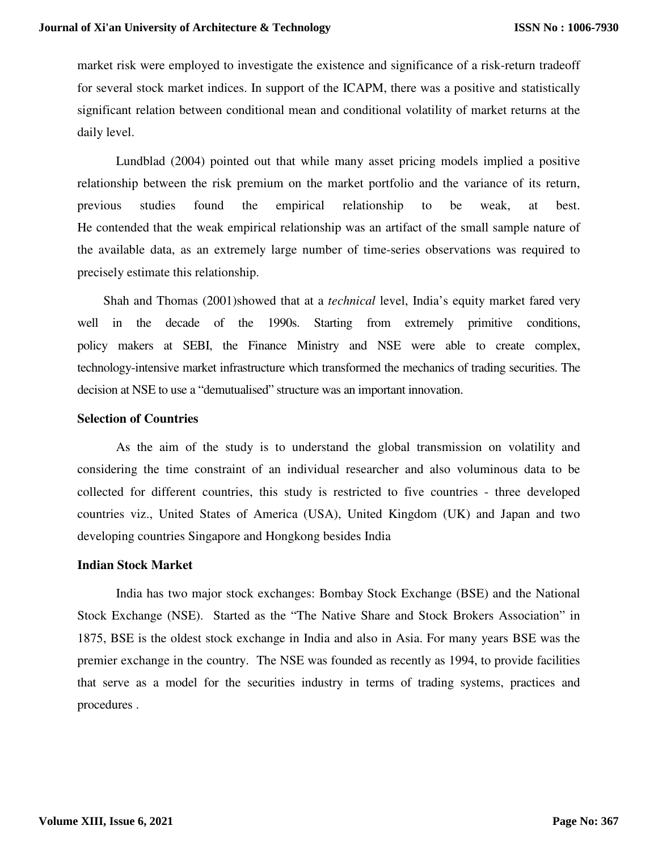market risk were employed to investigate the existence and significance of a risk-return tradeoff for several stock market indices. In support of the ICAPM, there was a positive and statistically significant relation between conditional mean and conditional volatility of market returns at the daily level.

Lundblad (2004) pointed out that while many asset pricing models implied a positive relationship between the risk premium on the market portfolio and the variance of its return, previous studies found the empirical relationship to be weak, at best. He contended that the weak empirical relationship was an artifact of the small sample nature of the available data, as an extremely large number of time-series observations was required to precisely estimate this relationship.

Shah and Thomas (2001)showed that at a *technical* level, India's equity market fared very well in the decade of the 1990s. Starting from extremely primitive conditions, policy makers at SEBI, the Finance Ministry and NSE were able to create complex, technology-intensive market infrastructure which transformed the mechanics of trading securities. The decision at NSE to use a "demutualised" structure was an important innovation.

#### **Selection of Countries**

As the aim of the study is to understand the global transmission on volatility and considering the time constraint of an individual researcher and also voluminous data to be collected for different countries, this study is restricted to five countries - three developed countries viz., United States of America (USA), United Kingdom (UK) and Japan and two developing countries Singapore and Hongkong besides India

#### **Indian Stock Market**

India has two major stock exchanges: Bombay Stock Exchange (BSE) and the National Stock Exchange (NSE). Started as the "The Native Share and Stock Brokers Association" in 1875, BSE is the oldest stock exchange in India and also in Asia. For many years BSE was the premier exchange in the country. The NSE was founded as recently as 1994, to provide facilities that serve as a model for the securities industry in terms of trading systems, practices and procedures .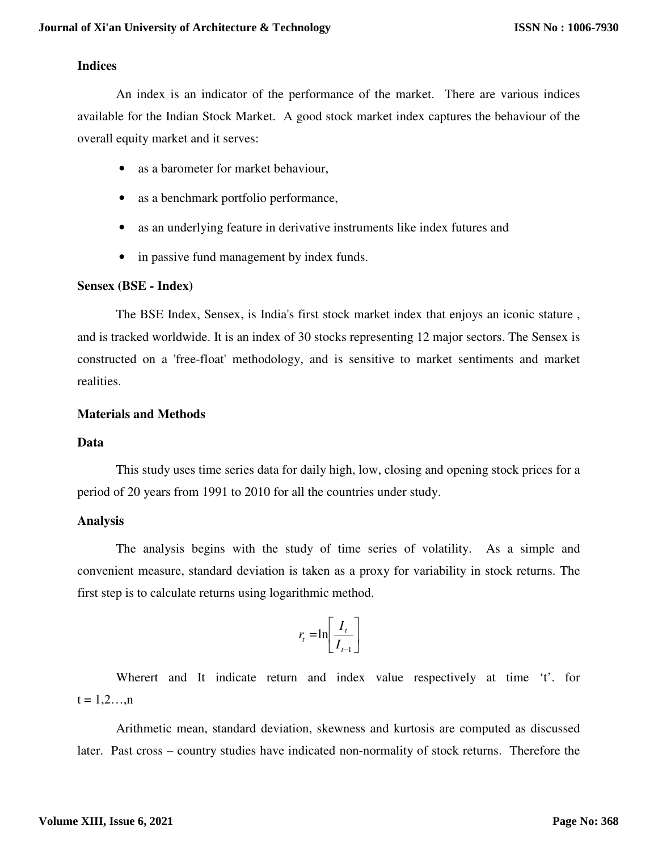#### **Indices**

An index is an indicator of the performance of the market. There are various indices available for the Indian Stock Market. A good stock market index captures the behaviour of the overall equity market and it serves:

- as a barometer for market behaviour.
- as a benchmark portfolio performance,
- as an underlying feature in derivative instruments like index futures and
- in passive fund management by index funds.

#### **Sensex (BSE - Index)**

The BSE Index, Sensex, is India's first stock market index that enjoys an iconic stature , and is tracked worldwide. It is an index of 30 stocks representing 12 major sectors. The Sensex is constructed on a 'free-float' methodology, and is sensitive to market sentiments and market realities.

#### **Materials and Methods**

#### **Data**

This study uses time series data for daily high, low, closing and opening stock prices for a period of 20 years from 1991 to 2010 for all the countries under study.

#### **Analysis**

The analysis begins with the study of time series of volatility. As a simple and convenient measure, standard deviation is taken as a proxy for variability in stock returns. The first step is to calculate returns using logarithmic method.

$$
r_t = \ln\left[\frac{I_t}{I_{t-1}}\right]
$$

Wherert and It indicate return and index value respectively at time 't'. for  $t = 1, 2, ..., n$ 

Arithmetic mean, standard deviation, skewness and kurtosis are computed as discussed later. Past cross – country studies have indicated non-normality of stock returns. Therefore the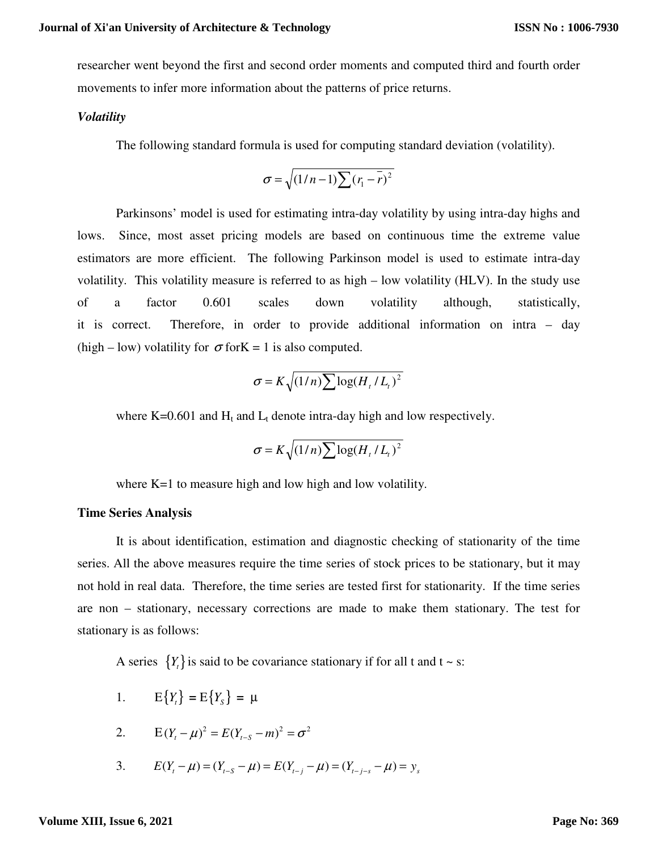researcher went beyond the first and second order moments and computed third and fourth order movements to infer more information about the patterns of price returns.

#### *Volatility*

The following standard formula is used for computing standard deviation (volatility).

$$
\sigma = \sqrt{(1/n-1)\sum (r_1 - \overline{r})^2}
$$

 Parkinsons' model is used for estimating intra-day volatility by using intra-day highs and lows. Since, most asset pricing models are based on continuous time the extreme value estimators are more efficient. The following Parkinson model is used to estimate intra-day volatility. This volatility measure is referred to as high – low volatility (HLV). In the study use of a factor 0.601 scales down volatility although, statistically, it is correct. Therefore, in order to provide additional information on intra – day (high – low) volatility for  $\sigma$  for K = 1 is also computed.

$$
\sigma = K \sqrt{(1/n) \sum \log(H_t/L_t)^2}
$$

where  $K=0.601$  and  $H_t$  and  $L_t$  denote intra-day high and low respectively.

$$
\sigma = K \sqrt{(1/n) \sum \log(H_t/L_t)^2}
$$

where K=1 to measure high and low high and low volatility.

#### **Time Series Analysis**

It is about identification, estimation and diagnostic checking of stationarity of the time series. All the above measures require the time series of stock prices to be stationary, but it may not hold in real data. Therefore, the time series are tested first for stationarity. If the time series are non – stationary, necessary corrections are made to make them stationary. The test for stationary is as follows:

A series  ${Y<sub>t</sub>}$  is said to be covariance stationary if for all t and t ~ s:

$$
1. \qquad E\{Y_t\} = E\{Y_s\} = \mu
$$

2. 
$$
E(Y_t - \mu)^2 = E(Y_{t-s} - m)^2 = \sigma^2
$$

3. 
$$
E(Y_t - \mu) = (Y_{t-s} - \mu) = E(Y_{t-j} - \mu) = (Y_{t-j-s} - \mu) = y_s
$$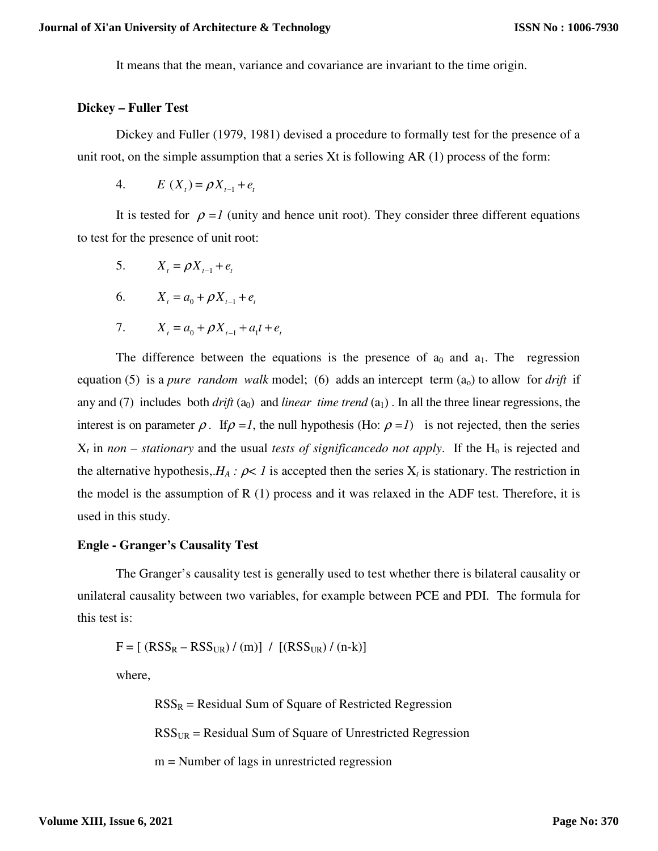It means that the mean, variance and covariance are invariant to the time origin.

#### **Dickey – Fuller Test**

 Dickey and Fuller (1979, 1981) devised a procedure to formally test for the presence of a unit root, on the simple assumption that a series Xt is following AR (1) process of the form:

4. 
$$
E(X_t) = \rho X_{t-1} + e_t
$$

It is tested for  $\rho =1$  (unity and hence unit root). They consider three different equations to test for the presence of unit root:

5.  $X_i = \rho X_{i-1} + e_i$ 

6. 
$$
X_t = a_0 + \rho X_{t-1} + e_t
$$

7. 
$$
X_t = a_0 + \rho X_{t-1} + a_1 t + e_t
$$

The difference between the equations is the presence of  $a_0$  and  $a_1$ . The regression equation (5) is a *pure random walk* model; (6) adds an intercept term (ao) to allow for *drift* if any and (7) includes both *drift*  $(a_0)$  and *linear time trend*  $(a_1)$ . In all the three linear regressions, the interest is on parameter  $\rho$ . If  $\rho =1$ , the null hypothesis (Ho:  $\rho =1$ ) is not rejected, then the series  $X_t$  in *non* – *stationary* and the usual *tests of significancedo not apply*. If the  $H_0$  is rejected and the alternative hypothesis,  $H_A$ :  $\rho$ < *l* is accepted then the series  $X_t$  is stationary. The restriction in the model is the assumption of R (1) process and it was relaxed in the ADF test. Therefore, it is used in this study.

#### **Engle - Granger's Causality Test**

 The Granger's causality test is generally used to test whether there is bilateral causality or unilateral causality between two variables, for example between PCE and PDI. The formula for this test is:

$$
F = [(RSS_R - RSS_{UR}) / (m)] / [(RSS_{UR}) / (n-k)]
$$

where,

 $RSS<sub>R</sub>$  = Residual Sum of Square of Restricted Regression

 $RSS<sub>UR</sub>$  = Residual Sum of Square of Unrestricted Regression

m = Number of lags in unrestricted regression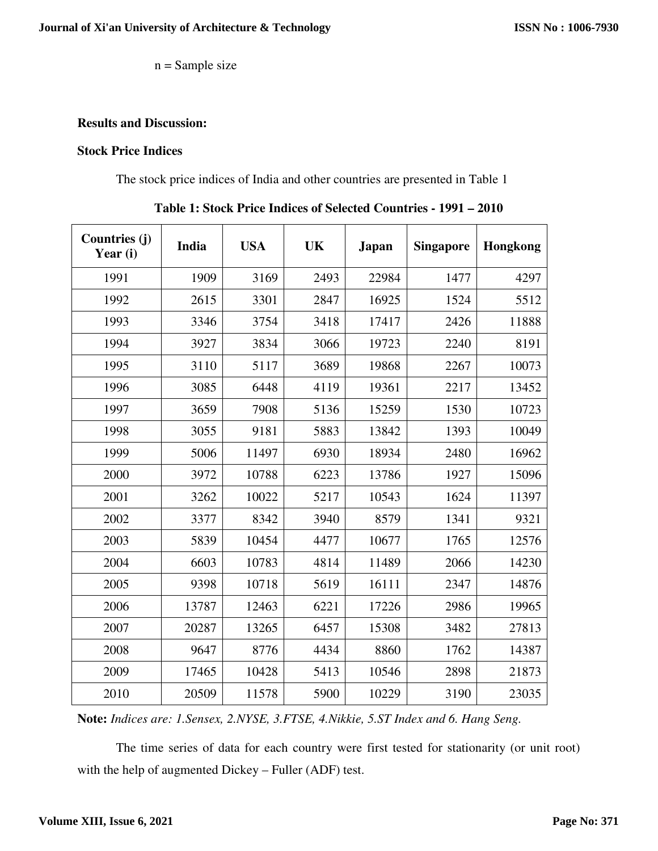$n =$  Sample size

#### **Results and Discussion:**

#### **Stock Price Indices**

The stock price indices of India and other countries are presented in Table 1

| Countries (j)<br>Year (i) | <b>India</b> | <b>USA</b> | UK   | <b>Japan</b> | <b>Singapore</b> | Hongkong |
|---------------------------|--------------|------------|------|--------------|------------------|----------|
| 1991                      | 1909         | 3169       | 2493 | 22984        | 1477             | 4297     |
| 1992                      | 2615         | 3301       | 2847 | 16925        | 1524             | 5512     |
| 1993                      | 3346         | 3754       | 3418 | 17417        | 2426             | 11888    |
| 1994                      | 3927         | 3834       | 3066 | 19723        | 2240             | 8191     |
| 1995                      | 3110         | 5117       | 3689 | 19868        | 2267             | 10073    |
| 1996                      | 3085         | 6448       | 4119 | 19361        | 2217             | 13452    |
| 1997                      | 3659         | 7908       | 5136 | 15259        | 1530             | 10723    |
| 1998                      | 3055         | 9181       | 5883 | 13842        | 1393             | 10049    |
| 1999                      | 5006         | 11497      | 6930 | 18934        | 2480             | 16962    |
| 2000                      | 3972         | 10788      | 6223 | 13786        | 1927             | 15096    |
| 2001                      | 3262         | 10022      | 5217 | 10543        | 1624             | 11397    |
| 2002                      | 3377         | 8342       | 3940 | 8579         | 1341             | 9321     |
| 2003                      | 5839         | 10454      | 4477 | 10677        | 1765             | 12576    |
| 2004                      | 6603         | 10783      | 4814 | 11489        | 2066             | 14230    |
| 2005                      | 9398         | 10718      | 5619 | 16111        | 2347             | 14876    |
| 2006                      | 13787        | 12463      | 6221 | 17226        | 2986             | 19965    |
| 2007                      | 20287        | 13265      | 6457 | 15308        | 3482             | 27813    |
| 2008                      | 9647         | 8776       | 4434 | 8860         | 1762             | 14387    |
| 2009                      | 17465        | 10428      | 5413 | 10546        | 2898             | 21873    |
| 2010                      | 20509        | 11578      | 5900 | 10229        | 3190             | 23035    |

**Table 1: Stock Price Indices of Selected Countries - 1991 – 2010** 

**Note:** *Indices are: 1.Sensex, 2.NYSE, 3.FTSE, 4.Nikkie, 5.ST Index and 6. Hang Seng.* 

 The time series of data for each country were first tested for stationarity (or unit root) with the help of augmented Dickey – Fuller (ADF) test.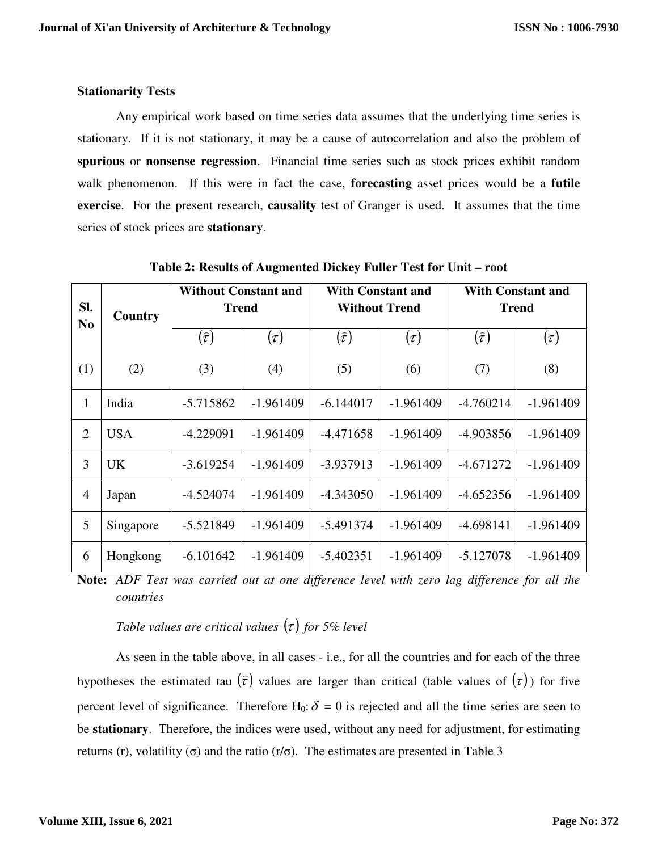#### **Stationarity Tests**

 Any empirical work based on time series data assumes that the underlying time series is stationary. If it is not stationary, it may be a cause of autocorrelation and also the problem of **spurious** or **nonsense regression**. Financial time series such as stock prices exhibit random walk phenomenon. If this were in fact the case, **forecasting** asset prices would be a **futile exercise**. For the present research, **causality** test of Granger is used. It assumes that the time series of stock prices are **stationary**.

| SI.<br>N <sub>o</sub> | Country    |                    | <b>Without Constant and</b><br>Trend |                    | <b>With Constant and</b><br><b>Without Trend</b> | <b>With Constant and</b><br><b>Trend</b> |             |  |
|-----------------------|------------|--------------------|--------------------------------------|--------------------|--------------------------------------------------|------------------------------------------|-------------|--|
|                       |            | $(\widehat{\tau})$ | $(\tau)$                             | $(\widehat{\tau})$ | $(\tau)$                                         | $(\widehat{\tau})$                       | $(\tau)$    |  |
| (1)                   | (2)        | (3)                | (4)                                  | (5)                | (6)                                              | (7)                                      | (8)         |  |
| $\mathbf{1}$          | India      | $-5.715862$        | $-1.961409$                          | $-6.144017$        | $-1.961409$                                      | $-4.760214$                              | $-1.961409$ |  |
| $\overline{2}$        | <b>USA</b> | -4.229091          | $-1.961409$                          | $-4.471658$        | $-1.961409$                                      | -4.903856                                | $-1.961409$ |  |
| 3                     | <b>UK</b>  | $-3.619254$        | $-1.961409$                          | $-3.937913$        | $-1.961409$                                      | -4.671272                                | $-1.961409$ |  |
| $\overline{4}$        | Japan      | $-4.524074$        | $-1.961409$                          | $-4.343050$        | $-1.961409$                                      | $-4.652356$                              | $-1.961409$ |  |
| 5                     | Singapore  | $-5.521849$        | $-1.961409$                          | $-5.491374$        | $-1.961409$                                      | $-4.698141$                              | $-1.961409$ |  |
| 6                     | Hongkong   | $-6.101642$        | $-1.961409$                          | $-5.402351$        | $-1.961409$                                      | $-5.127078$                              | $-1.961409$ |  |

**Table 2: Results of Augmented Dickey Fuller Test for Unit – root** 

**Note:** *ADF Test was carried out at one difference level with zero lag difference for all the countries* 

*Table values are critical values*  $(\tau)$  *for 5% level* 

 As seen in the table above, in all cases - i.e., for all the countries and for each of the three hypotheses the estimated tau  $(\bar{\tau})$  $\overline{a}$ values are larger than critical (table values of  $(\tau)$ ) for five percent level of significance. Therefore H<sub>0</sub>:  $\delta = 0$  is rejected and all the time series are seen to be **stationary**. Therefore, the indices were used, without any need for adjustment, for estimating returns (r), volatility (σ) and the ratio ( $r/\sigma$ ). The estimates are presented in Table 3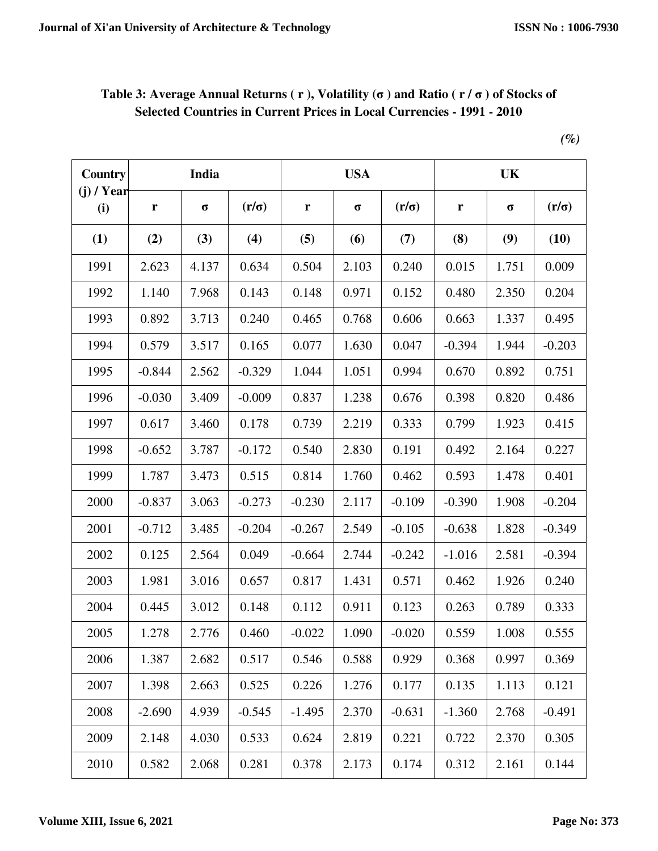| <b>Country</b>    | India       |          |              |          | <b>USA</b> |              |          | UK       |              |  |  |
|-------------------|-------------|----------|--------------|----------|------------|--------------|----------|----------|--------------|--|--|
| (i) / Year<br>(i) | $\mathbf r$ | $\sigma$ | $(r/\sigma)$ | r        | $\sigma$   | $(r/\sigma)$ | r        | $\sigma$ | $(r/\sigma)$ |  |  |
| (1)               | (2)         | (3)      | (4)          | (5)      | (6)        | (7)          | (8)      | (9)      | (10)         |  |  |
| 1991              | 2.623       | 4.137    | 0.634        | 0.504    | 2.103      | 0.240        | 0.015    | 1.751    | 0.009        |  |  |
| 1992              | 1.140       | 7.968    | 0.143        | 0.148    | 0.971      | 0.152        | 0.480    | 2.350    | 0.204        |  |  |
| 1993              | 0.892       | 3.713    | 0.240        | 0.465    | 0.768      | 0.606        | 0.663    | 1.337    | 0.495        |  |  |
| 1994              | 0.579       | 3.517    | 0.165        | 0.077    | 1.630      | 0.047        | $-0.394$ | 1.944    | $-0.203$     |  |  |
| 1995              | $-0.844$    | 2.562    | $-0.329$     | 1.044    | 1.051      | 0.994        | 0.670    | 0.892    | 0.751        |  |  |
| 1996              | $-0.030$    | 3.409    | $-0.009$     | 0.837    | 1.238      | 0.676        | 0.398    | 0.820    | 0.486        |  |  |
| 1997              | 0.617       | 3.460    | 0.178        | 0.739    | 2.219      | 0.333        | 0.799    | 1.923    | 0.415        |  |  |
| 1998              | $-0.652$    | 3.787    | $-0.172$     | 0.540    | 2.830      | 0.191        | 0.492    | 2.164    | 0.227        |  |  |
| 1999              | 1.787       | 3.473    | 0.515        | 0.814    | 1.760      | 0.462        | 0.593    | 1.478    | 0.401        |  |  |
| 2000              | $-0.837$    | 3.063    | $-0.273$     | $-0.230$ | 2.117      | $-0.109$     | $-0.390$ | 1.908    | $-0.204$     |  |  |
| 2001              | $-0.712$    | 3.485    | $-0.204$     | $-0.267$ | 2.549      | $-0.105$     | $-0.638$ | 1.828    | $-0.349$     |  |  |
| 2002              | 0.125       | 2.564    | 0.049        | $-0.664$ | 2.744      | $-0.242$     | $-1.016$ | 2.581    | $-0.394$     |  |  |
| 2003              | 1.981       | 3.016    | 0.657        | 0.817    | 1.431      | 0.571        | 0.462    | 1.926    | 0.240        |  |  |
| 2004              | 0.445       | 3.012    | 0.148        | 0.112    | 0.911      | 0.123        | 0.263    | 0.789    | 0.333        |  |  |
| 2005              | 1.278       | 2.776    | 0.460        | $-0.022$ | 1.090      | $-0.020$     | 0.559    | 1.008    | 0.555        |  |  |
| 2006              | 1.387       | 2.682    | 0.517        | 0.546    | 0.588      | 0.929        | 0.368    | 0.997    | 0.369        |  |  |
| 2007              | 1.398       | 2.663    | 0.525        | 0.226    | 1.276      | 0.177        | 0.135    | 1.113    | 0.121        |  |  |
| 2008              | $-2.690$    | 4.939    | $-0.545$     | $-1.495$ | 2.370      | $-0.631$     | $-1.360$ | 2.768    | $-0.491$     |  |  |
| 2009              | 2.148       | 4.030    | 0.533        | 0.624    | 2.819      | 0.221        | 0.722    | 2.370    | 0.305        |  |  |
| 2010              | 0.582       | 2.068    | 0.281        | 0.378    | 2.173      | 0.174        | 0.312    | 2.161    | 0.144        |  |  |

# **Table 3: Average Annual Returns ( r ), Volatility (σ ) and Ratio ( r / σ ) of Stocks of Selected Countries in Current Prices in Local Currencies - 1991 - 2010**

*(%)*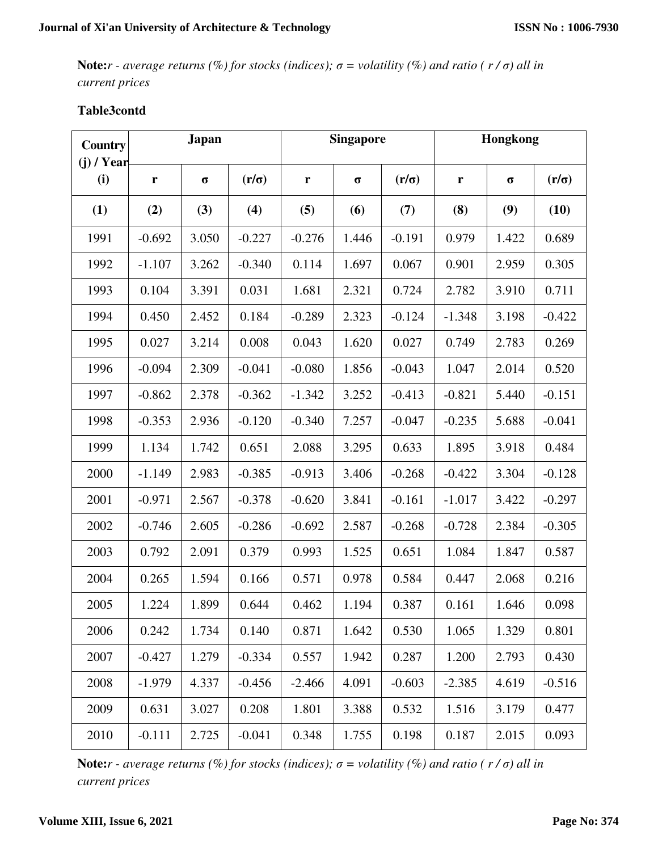**Note:***r* - *average returns* (%) for stocks (indices);  $\sigma$  = *volatility* (%) and ratio ( $r / σ$ ) all in *current prices*

#### **Table3contd**

| <b>Country</b><br>(i) / Year |          | <b>Japan</b> |              |          | <b>Singapore</b> |              |          | Hongkong |              |  |
|------------------------------|----------|--------------|--------------|----------|------------------|--------------|----------|----------|--------------|--|
| (i)                          | r        | $\sigma$     | $(r/\sigma)$ | r        | σ                | $(r/\sigma)$ | r        | σ        | $(r/\sigma)$ |  |
| (1)                          | (2)      | (3)          | (4)          | (5)      | (6)              | (7)          | (8)      | (9)      | (10)         |  |
| 1991                         | $-0.692$ | 3.050        | $-0.227$     | $-0.276$ | 1.446            | $-0.191$     | 0.979    | 1.422    | 0.689        |  |
| 1992                         | $-1.107$ | 3.262        | $-0.340$     | 0.114    | 1.697            | 0.067        | 0.901    | 2.959    | 0.305        |  |
| 1993                         | 0.104    | 3.391        | 0.031        | 1.681    | 2.321            | 0.724        | 2.782    | 3.910    | 0.711        |  |
| 1994                         | 0.450    | 2.452        | 0.184        | $-0.289$ | 2.323            | $-0.124$     | $-1.348$ | 3.198    | $-0.422$     |  |
| 1995                         | 0.027    | 3.214        | 0.008        | 0.043    | 1.620            | 0.027        | 0.749    | 2.783    | 0.269        |  |
| 1996                         | $-0.094$ | 2.309        | $-0.041$     | $-0.080$ | 1.856            | $-0.043$     | 1.047    | 2.014    | 0.520        |  |
| 1997                         | $-0.862$ | 2.378        | $-0.362$     | $-1.342$ | 3.252            | $-0.413$     | $-0.821$ | 5.440    | $-0.151$     |  |
| 1998                         | $-0.353$ | 2.936        | $-0.120$     | $-0.340$ | 7.257            | $-0.047$     | $-0.235$ | 5.688    | $-0.041$     |  |
| 1999                         | 1.134    | 1.742        | 0.651        | 2.088    | 3.295            | 0.633        | 1.895    | 3.918    | 0.484        |  |
| 2000                         | $-1.149$ | 2.983        | $-0.385$     | $-0.913$ | 3.406            | $-0.268$     | $-0.422$ | 3.304    | $-0.128$     |  |
| 2001                         | $-0.971$ | 2.567        | $-0.378$     | $-0.620$ | 3.841            | $-0.161$     | $-1.017$ | 3.422    | $-0.297$     |  |
| 2002                         | $-0.746$ | 2.605        | $-0.286$     | $-0.692$ | 2.587            | $-0.268$     | $-0.728$ | 2.384    | $-0.305$     |  |
| 2003                         | 0.792    | 2.091        | 0.379        | 0.993    | 1.525            | 0.651        | 1.084    | 1.847    | 0.587        |  |
| 2004                         | 0.265    | 1.594        | 0.166        | 0.571    | 0.978            | 0.584        | 0.447    | 2.068    | 0.216        |  |
| 2005                         | 1.224    | 1.899        | 0.644        | 0.462    | 1.194            | 0.387        | 0.161    | 1.646    | 0.098        |  |
| 2006                         | 0.242    | 1.734        | 0.140        | 0.871    | 1.642            | 0.530        | 1.065    | 1.329    | 0.801        |  |
| 2007                         | $-0.427$ | 1.279        | $-0.334$     | 0.557    | 1.942            | 0.287        | 1.200    | 2.793    | 0.430        |  |
| 2008                         | $-1.979$ | 4.337        | $-0.456$     | $-2.466$ | 4.091            | $-0.603$     | $-2.385$ | 4.619    | $-0.516$     |  |
| 2009                         | 0.631    | 3.027        | 0.208        | 1.801    | 3.388            | 0.532        | 1.516    | 3.179    | 0.477        |  |
| 2010                         | $-0.111$ | 2.725        | $-0.041$     | 0.348    | 1.755            | 0.198        | 0.187    | 2.015    | 0.093        |  |

**Note:***r* - *average returns* (%) for stocks (indices);  $\sigma$  = volatility (%) and ratio ( $r / \sigma$ ) all in *current prices*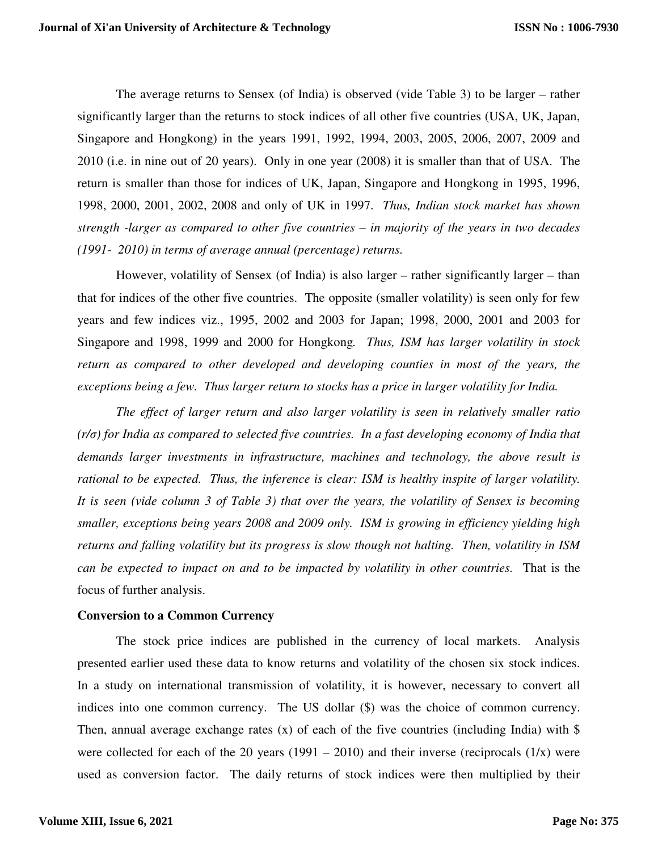The average returns to Sensex (of India) is observed (vide Table 3) to be larger – rather significantly larger than the returns to stock indices of all other five countries (USA, UK, Japan, Singapore and Hongkong) in the years 1991, 1992, 1994, 2003, 2005, 2006, 2007, 2009 and 2010 (i.e. in nine out of 20 years). Only in one year (2008) it is smaller than that of USA. The return is smaller than those for indices of UK, Japan, Singapore and Hongkong in 1995, 1996, 1998, 2000, 2001, 2002, 2008 and only of UK in 1997. *Thus, Indian stock market has shown strength -larger as compared to other five countries – in majority of the years in two decades (1991- 2010) in terms of average annual (percentage) returns.* 

 However, volatility of Sensex (of India) is also larger – rather significantly larger – than that for indices of the other five countries. The opposite (smaller volatility) is seen only for few years and few indices viz., 1995, 2002 and 2003 for Japan; 1998, 2000, 2001 and 2003 for Singapore and 1998, 1999 and 2000 for Hongkong*. Thus, ISM has larger volatility in stock return as compared to other developed and developing counties in most of the years, the exceptions being a few. Thus larger return to stocks has a price in larger volatility for India.* 

 *The effect of larger return and also larger volatility is seen in relatively smaller ratio (r/σ) for India as compared to selected five countries. In a fast developing economy of India that demands larger investments in infrastructure, machines and technology, the above result is rational to be expected. Thus, the inference is clear: ISM is healthy inspite of larger volatility. It is seen (vide column 3 of Table 3) that over the years, the volatility of Sensex is becoming smaller, exceptions being years 2008 and 2009 only. ISM is growing in efficiency yielding high returns and falling volatility but its progress is slow though not halting. Then, volatility in ISM can be expected to impact on and to be impacted by volatility in other countries.* That is the focus of further analysis.

#### **Conversion to a Common Currency**

The stock price indices are published in the currency of local markets. Analysis presented earlier used these data to know returns and volatility of the chosen six stock indices. In a study on international transmission of volatility, it is however, necessary to convert all indices into one common currency. The US dollar (\$) was the choice of common currency. Then, annual average exchange rates (x) of each of the five countries (including India) with \$ were collected for each of the 20 years  $(1991 - 2010)$  and their inverse (reciprocals  $(1/x)$  were used as conversion factor. The daily returns of stock indices were then multiplied by their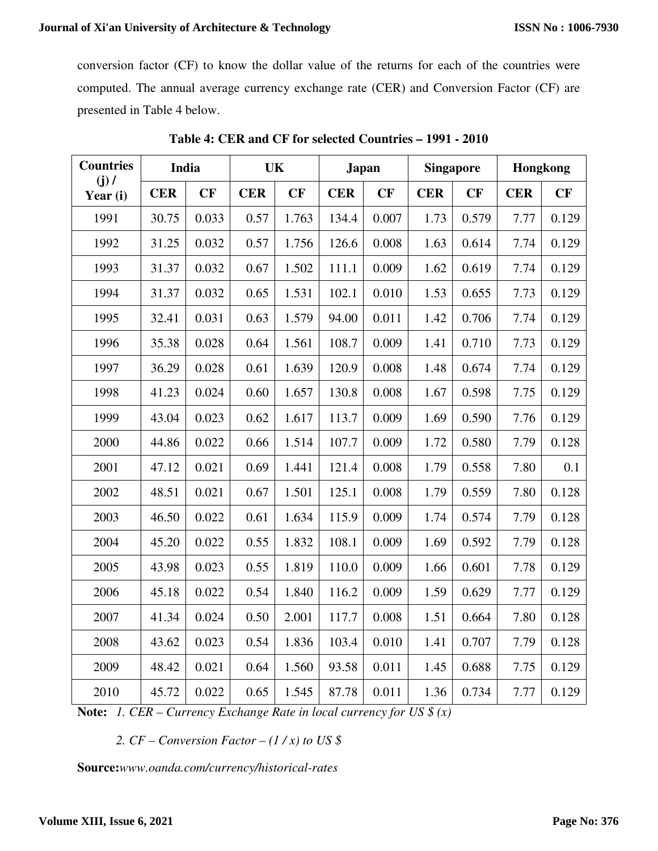conversion factor (CF) to know the dollar value of the returns for each of the countries were computed. The annual average currency exchange rate (CER) and Conversion Factor (CF) are presented in Table 4 below.

| <b>Countries</b> | India<br>$(j)$ / |       | <b>UK</b>  |       |            | <b>Japan</b> |            | <b>Singapore</b> |            | Hongkong |  |
|------------------|------------------|-------|------------|-------|------------|--------------|------------|------------------|------------|----------|--|
| Year (i)         | <b>CER</b>       | CF    | <b>CER</b> | CF    | <b>CER</b> | CF           | <b>CER</b> | CF               | <b>CER</b> | CF       |  |
| 1991             | 30.75            | 0.033 | 0.57       | 1.763 | 134.4      | 0.007        | 1.73       | 0.579            | 7.77       | 0.129    |  |
| 1992             | 31.25            | 0.032 | 0.57       | 1.756 | 126.6      | 0.008        | 1.63       | 0.614            | 7.74       | 0.129    |  |
| 1993             | 31.37            | 0.032 | 0.67       | 1.502 | 111.1      | 0.009        | 1.62       | 0.619            | 7.74       | 0.129    |  |
| 1994             | 31.37            | 0.032 | 0.65       | 1.531 | 102.1      | 0.010        | 1.53       | 0.655            | 7.73       | 0.129    |  |
| 1995             | 32.41            | 0.031 | 0.63       | 1.579 | 94.00      | 0.011        | 1.42       | 0.706            | 7.74       | 0.129    |  |
| 1996             | 35.38            | 0.028 | 0.64       | 1.561 | 108.7      | 0.009        | 1.41       | 0.710            | 7.73       | 0.129    |  |
| 1997             | 36.29            | 0.028 | 0.61       | 1.639 | 120.9      | 0.008        | 1.48       | 0.674            | 7.74       | 0.129    |  |
| 1998             | 41.23            | 0.024 | 0.60       | 1.657 | 130.8      | 0.008        | 1.67       | 0.598            | 7.75       | 0.129    |  |
| 1999             | 43.04            | 0.023 | 0.62       | 1.617 | 113.7      | 0.009        | 1.69       | 0.590            | 7.76       | 0.129    |  |
| 2000             | 44.86            | 0.022 | 0.66       | 1.514 | 107.7      | 0.009        | 1.72       | 0.580            | 7.79       | 0.128    |  |
| 2001             | 47.12            | 0.021 | 0.69       | 1.441 | 121.4      | 0.008        | 1.79       | 0.558            | 7.80       | 0.1      |  |
| 2002             | 48.51            | 0.021 | 0.67       | 1.501 | 125.1      | 0.008        | 1.79       | 0.559            | 7.80       | 0.128    |  |
| 2003             | 46.50            | 0.022 | 0.61       | 1.634 | 115.9      | 0.009        | 1.74       | 0.574            | 7.79       | 0.128    |  |
| 2004             | 45.20            | 0.022 | 0.55       | 1.832 | 108.1      | 0.009        | 1.69       | 0.592            | 7.79       | 0.128    |  |
| 2005             | 43.98            | 0.023 | 0.55       | 1.819 | 110.0      | 0.009        | 1.66       | 0.601            | 7.78       | 0.129    |  |
| 2006             | 45.18            | 0.022 | 0.54       | 1.840 | 116.2      | 0.009        | 1.59       | 0.629            | 7.77       | 0.129    |  |
| 2007             | 41.34            | 0.024 | 0.50       | 2.001 | 117.7      | 0.008        | 1.51       | 0.664            | 7.80       | 0.128    |  |
| 2008             | 43.62            | 0.023 | 0.54       | 1.836 | 103.4      | 0.010        | 1.41       | 0.707            | 7.79       | 0.128    |  |
| 2009             | 48.42            | 0.021 | 0.64       | 1.560 | 93.58      | 0.011        | 1.45       | 0.688            | 7.75       | 0.129    |  |
| 2010             | 45.72            | 0.022 | 0.65       | 1.545 | 87.78      | 0.011        | 1.36       | 0.734            | 7.77       | 0.129    |  |

**Table 4: CER and CF for selected Countries – 1991 - 2010** 

**Note:** *1. CER – Currency Exchange Rate in local currency for US \$ (x)* 

2.  $CF$  – Conversion Factor –  $(1/x)$  to US \$

**Source:***www.oanda.com/currency/historical-rates*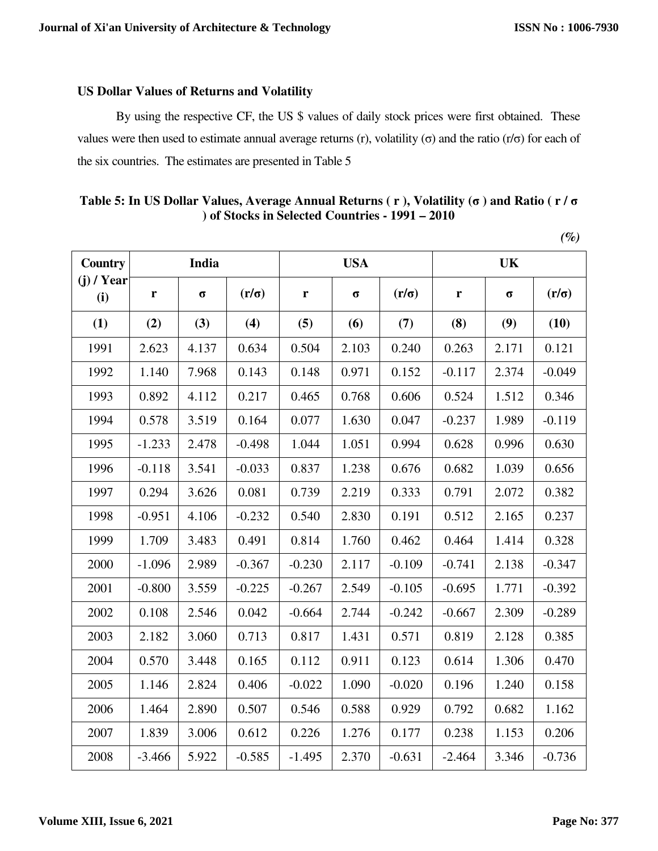## **US Dollar Values of Returns and Volatility**

 By using the respective CF, the US \$ values of daily stock prices were first obtained. These values were then used to estimate annual average returns (r), volatility (σ) and the ratio (r/σ) for each of the six countries. The estimates are presented in Table 5

| Table 5: In US Dollar Values, Average Annual Returns (r), Volatility ( $\sigma$ ) and Ratio (r/ $\sigma$ ) |
|------------------------------------------------------------------------------------------------------------|
| ) of Stocks in Selected Countries - 1991 – 2010                                                            |

*(%)* 

| <b>Country</b>    | India       |          |              |             | <b>USA</b> |              | <b>UK</b>   |          |              |
|-------------------|-------------|----------|--------------|-------------|------------|--------------|-------------|----------|--------------|
| (i) / Year<br>(i) | $\mathbf r$ | $\sigma$ | $(r/\sigma)$ | $\mathbf r$ | $\sigma$   | $(r/\sigma)$ | $\mathbf r$ | $\sigma$ | $(r/\sigma)$ |
| (1)               | (2)         | (3)      | (4)          | (5)         | (6)        | (7)          | (8)         | (9)      | (10)         |
| 1991              | 2.623       | 4.137    | 0.634        | 0.504       | 2.103      | 0.240        | 0.263       | 2.171    | 0.121        |
| 1992              | 1.140       | 7.968    | 0.143        | 0.148       | 0.971      | 0.152        | $-0.117$    | 2.374    | $-0.049$     |
| 1993              | 0.892       | 4.112    | 0.217        | 0.465       | 0.768      | 0.606        | 0.524       | 1.512    | 0.346        |
| 1994              | 0.578       | 3.519    | 0.164        | 0.077       | 1.630      | 0.047        | $-0.237$    | 1.989    | $-0.119$     |
| 1995              | $-1.233$    | 2.478    | $-0.498$     | 1.044       | 1.051      | 0.994        | 0.628       | 0.996    | 0.630        |
| 1996              | $-0.118$    | 3.541    | $-0.033$     | 0.837       | 1.238      | 0.676        | 0.682       | 1.039    | 0.656        |
| 1997              | 0.294       | 3.626    | 0.081        | 0.739       | 2.219      | 0.333        | 0.791       | 2.072    | 0.382        |
| 1998              | $-0.951$    | 4.106    | $-0.232$     | 0.540       | 2.830      | 0.191        | 0.512       | 2.165    | 0.237        |
| 1999              | 1.709       | 3.483    | 0.491        | 0.814       | 1.760      | 0.462        | 0.464       | 1.414    | 0.328        |
| 2000              | $-1.096$    | 2.989    | $-0.367$     | $-0.230$    | 2.117      | $-0.109$     | $-0.741$    | 2.138    | $-0.347$     |
| 2001              | $-0.800$    | 3.559    | $-0.225$     | $-0.267$    | 2.549      | $-0.105$     | $-0.695$    | 1.771    | $-0.392$     |
| 2002              | 0.108       | 2.546    | 0.042        | $-0.664$    | 2.744      | $-0.242$     | $-0.667$    | 2.309    | $-0.289$     |
| 2003              | 2.182       | 3.060    | 0.713        | 0.817       | 1.431      | 0.571        | 0.819       | 2.128    | 0.385        |
| 2004              | 0.570       | 3.448    | 0.165        | 0.112       | 0.911      | 0.123        | 0.614       | 1.306    | 0.470        |
| 2005              | 1.146       | 2.824    | 0.406        | $-0.022$    | 1.090      | $-0.020$     | 0.196       | 1.240    | 0.158        |
| 2006              | 1.464       | 2.890    | 0.507        | 0.546       | 0.588      | 0.929        | 0.792       | 0.682    | 1.162        |
| 2007              | 1.839       | 3.006    | 0.612        | 0.226       | 1.276      | 0.177        | 0.238       | 1.153    | 0.206        |
| 2008              | $-3.466$    | 5.922    | $-0.585$     | $-1.495$    | 2.370      | $-0.631$     | $-2.464$    | 3.346    | $-0.736$     |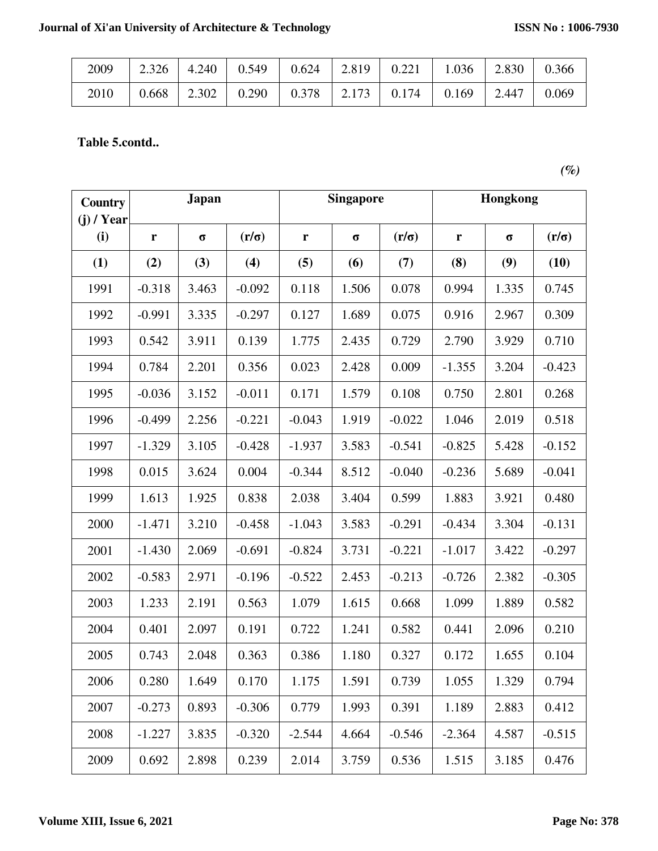| 2009 | $2.326$   4.240   0.549 |                         | $0.624$   2.819   0.221   1.036 |       | $\vert 2.830 \vert$ | 0.366 |
|------|-------------------------|-------------------------|---------------------------------|-------|---------------------|-------|
| 2010 | $0.668$   2.302   0.290 | $0.378$   2.173   0.174 |                                 | 0.169 | 2.447               | 0.069 |

### **Table 5.contd..**

| <b>Country</b><br>(i) / Year |          | <b>Singapore</b><br><b>Japan</b> |              |          |          |              |          | Hongkong |              |  |  |
|------------------------------|----------|----------------------------------|--------------|----------|----------|--------------|----------|----------|--------------|--|--|
| (i)                          | r        | $\sigma$                         | $(r/\sigma)$ | r        | $\sigma$ | $(r/\sigma)$ | r        | $\sigma$ | $(r/\sigma)$ |  |  |
| (1)                          | (2)      | (3)                              | (4)          | (5)      | (6)      | (7)          | (8)      | (9)      | (10)         |  |  |
| 1991                         | $-0.318$ | 3.463                            | $-0.092$     | 0.118    | 1.506    | 0.078        | 0.994    | 1.335    | 0.745        |  |  |
| 1992                         | $-0.991$ | 3.335                            | $-0.297$     | 0.127    | 1.689    | 0.075        | 0.916    | 2.967    | 0.309        |  |  |
| 1993                         | 0.542    | 3.911                            | 0.139        | 1.775    | 2.435    | 0.729        | 2.790    | 3.929    | 0.710        |  |  |
| 1994                         | 0.784    | 2.201                            | 0.356        | 0.023    | 2.428    | 0.009        | $-1.355$ | 3.204    | $-0.423$     |  |  |
| 1995                         | $-0.036$ | 3.152                            | $-0.011$     | 0.171    | 1.579    | 0.108        | 0.750    | 2.801    | 0.268        |  |  |
| 1996                         | $-0.499$ | 2.256                            | $-0.221$     | $-0.043$ | 1.919    | $-0.022$     | 1.046    | 2.019    | 0.518        |  |  |
| 1997                         | $-1.329$ | 3.105                            | $-0.428$     | $-1.937$ | 3.583    | $-0.541$     | $-0.825$ | 5.428    | $-0.152$     |  |  |
| 1998                         | 0.015    | 3.624                            | 0.004        | $-0.344$ | 8.512    | $-0.040$     | $-0.236$ | 5.689    | $-0.041$     |  |  |
| 1999                         | 1.613    | 1.925                            | 0.838        | 2.038    | 3.404    | 0.599        | 1.883    | 3.921    | 0.480        |  |  |
| 2000                         | $-1.471$ | 3.210                            | $-0.458$     | $-1.043$ | 3.583    | $-0.291$     | $-0.434$ | 3.304    | $-0.131$     |  |  |
| 2001                         | $-1.430$ | 2.069                            | $-0.691$     | $-0.824$ | 3.731    | $-0.221$     | $-1.017$ | 3.422    | $-0.297$     |  |  |
| 2002                         | $-0.583$ | 2.971                            | $-0.196$     | $-0.522$ | 2.453    | $-0.213$     | $-0.726$ | 2.382    | $-0.305$     |  |  |
| 2003                         | 1.233    | 2.191                            | 0.563        | 1.079    | 1.615    | 0.668        | 1.099    | 1.889    | 0.582        |  |  |
| 2004                         | 0.401    | 2.097                            | 0.191        | 0.722    | 1.241    | 0.582        | 0.441    | 2.096    | 0.210        |  |  |
| 2005                         | 0.743    | 2.048                            | 0.363        | 0.386    | 1.180    | 0.327        | 0.172    | 1.655    | 0.104        |  |  |
| 2006                         | 0.280    | 1.649                            | $0.170\,$    | 1.175    | 1.591    | 0.739        | 1.055    | 1.329    | 0.794        |  |  |
| 2007                         | $-0.273$ | 0.893                            | $-0.306$     | 0.779    | 1.993    | 0.391        | 1.189    | 2.883    | 0.412        |  |  |
| 2008                         | $-1.227$ | 3.835                            | $-0.320$     | $-2.544$ | 4.664    | $-0.546$     | $-2.364$ | 4.587    | $-0.515$     |  |  |
| 2009                         | 0.692    | 2.898                            | 0.239        | 2.014    | 3.759    | 0.536        | 1.515    | 3.185    | 0.476        |  |  |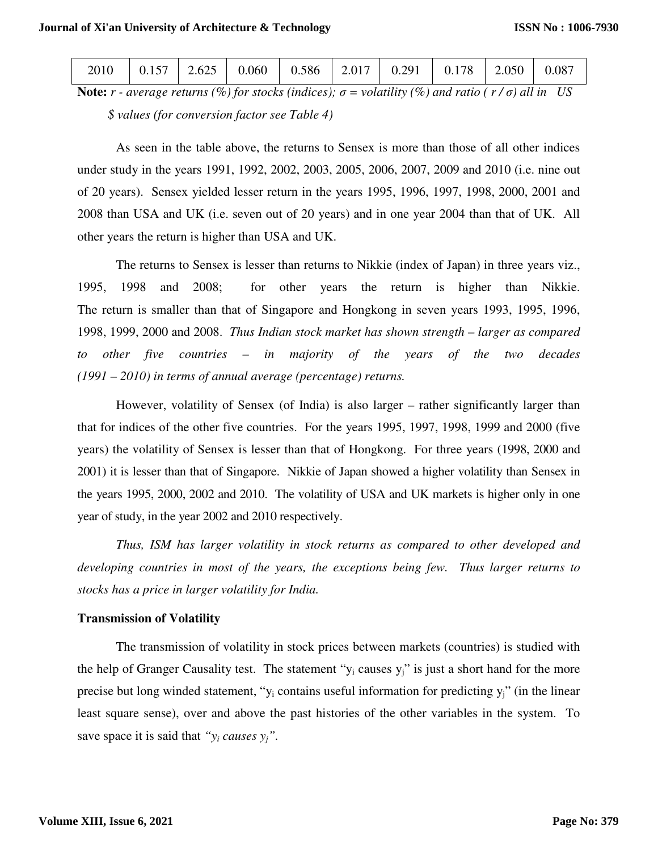| $\big  0.178$<br>$\vert 0.157 \vert 2.625 \vert 0.060 \vert 0.586 \vert 2.017 \vert 0.291$<br>2.050<br>0.087<br>2010 | _ _ |  | . |  |  | ____ |
|----------------------------------------------------------------------------------------------------------------------|-----|--|---|--|--|------|
|                                                                                                                      |     |  |   |  |  |      |

**Note:** *r* - *average returns* (%) for stocks (indices);  $\sigma$  = *volatility* (%) and ratio ( $r/\sigma$ ) all in US *\$ values (for conversion factor see Table 4)* 

As seen in the table above, the returns to Sensex is more than those of all other indices under study in the years 1991, 1992, 2002, 2003, 2005, 2006, 2007, 2009 and 2010 (i.e. nine out of 20 years). Sensex yielded lesser return in the years 1995, 1996, 1997, 1998, 2000, 2001 and 2008 than USA and UK (i.e. seven out of 20 years) and in one year 2004 than that of UK. All other years the return is higher than USA and UK.

 The returns to Sensex is lesser than returns to Nikkie (index of Japan) in three years viz., 1995, 1998 and 2008; for other years the return is higher than Nikkie. The return is smaller than that of Singapore and Hongkong in seven years 1993, 1995, 1996, 1998, 1999, 2000 and 2008. *Thus Indian stock market has shown strength – larger as compared to other five countries – in majority of the years of the two decades (1991 – 2010) in terms of annual average (percentage) returns.* 

 However, volatility of Sensex (of India) is also larger – rather significantly larger than that for indices of the other five countries. For the years 1995, 1997, 1998, 1999 and 2000 (five years) the volatility of Sensex is lesser than that of Hongkong. For three years (1998, 2000 and 2001) it is lesser than that of Singapore. Nikkie of Japan showed a higher volatility than Sensex in the years 1995, 2000, 2002 and 2010. The volatility of USA and UK markets is higher only in one year of study, in the year 2002 and 2010 respectively.

*Thus, ISM has larger volatility in stock returns as compared to other developed and developing countries in most of the years, the exceptions being few. Thus larger returns to stocks has a price in larger volatility for India.* 

#### **Transmission of Volatility**

The transmission of volatility in stock prices between markets (countries) is studied with the help of Granger Causality test. The statement " $y_i$  causes  $y_j$ " is just a short hand for the more precise but long winded statement, " $y_i$  contains useful information for predicting  $y_j$ " (in the linear least square sense), over and above the past histories of the other variables in the system. To save space it is said that " $y_i$  *causes*  $y_j$ ".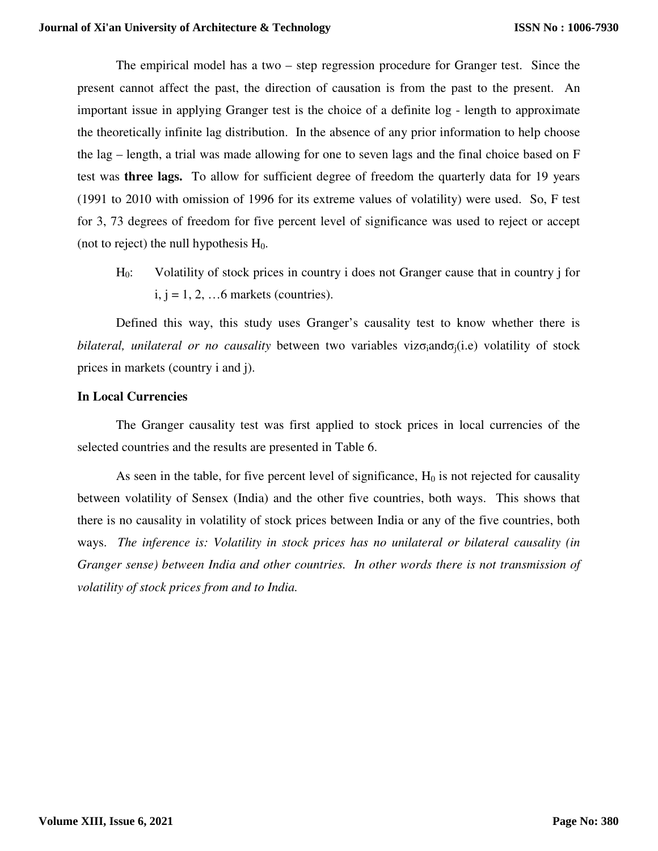The empirical model has a two – step regression procedure for Granger test. Since the present cannot affect the past, the direction of causation is from the past to the present. An important issue in applying Granger test is the choice of a definite log - length to approximate the theoretically infinite lag distribution. In the absence of any prior information to help choose the lag – length, a trial was made allowing for one to seven lags and the final choice based on F test was **three lags.** To allow for sufficient degree of freedom the quarterly data for 19 years (1991 to 2010 with omission of 1996 for its extreme values of volatility) were used. So, F test for 3, 73 degrees of freedom for five percent level of significance was used to reject or accept (not to reject) the null hypothesis  $H_0$ .

H0: Volatility of stock prices in country i does not Granger cause that in country j for  $i, j = 1, 2, \ldots 6$  markets (countries).

Defined this way, this study uses Granger's causality test to know whether there is *bilateral, unilateral or no causality* between two variables vizσ<sub>i</sub>andσ<sub>i</sub>(i.e) volatility of stock prices in markets (country i and j).

#### **In Local Currencies**

 The Granger causality test was first applied to stock prices in local currencies of the selected countries and the results are presented in Table 6.

As seen in the table, for five percent level of significance,  $H_0$  is not rejected for causality between volatility of Sensex (India) and the other five countries, both ways. This shows that there is no causality in volatility of stock prices between India or any of the five countries, both ways. *The inference is: Volatility in stock prices has no unilateral or bilateral causality (in Granger sense) between India and other countries. In other words there is not transmission of volatility of stock prices from and to India.*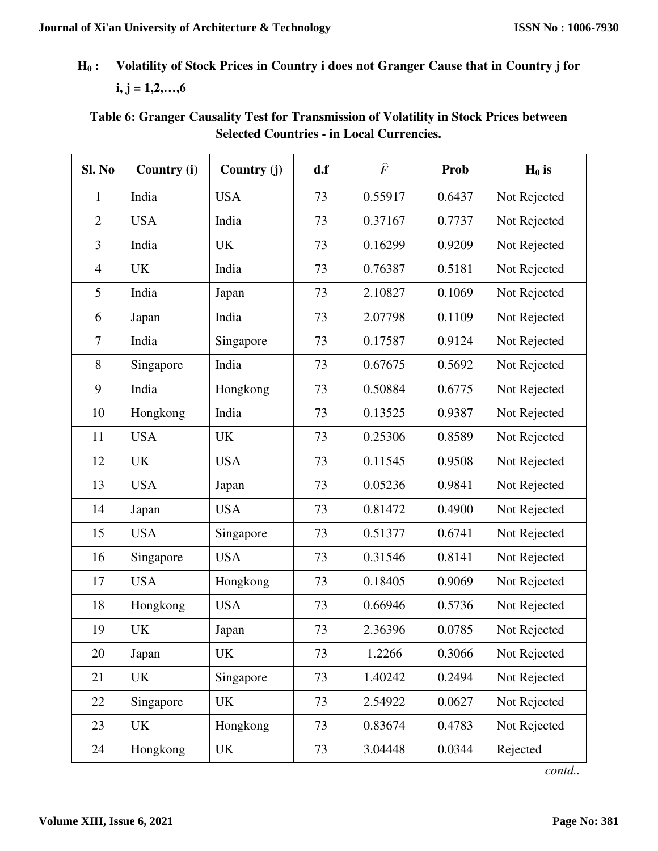**H0 : Volatility of Stock Prices in Country i does not Granger Cause that in Country j for i, j = 1,2,…,6** 

**Table 6: Granger Causality Test for Transmission of Volatility in Stock Prices between Selected Countries - in Local Currencies.** 

| Sl. No         | Country (i) | Country (j) | d.f | $\widehat{F}$ | Prob   | $H_0$ is     |
|----------------|-------------|-------------|-----|---------------|--------|--------------|
| $\mathbf{1}$   | India       | <b>USA</b>  | 73  | 0.55917       | 0.6437 | Not Rejected |
| $\overline{2}$ | <b>USA</b>  | India       | 73  | 0.37167       | 0.7737 | Not Rejected |
| $\overline{3}$ | India       | <b>UK</b>   | 73  | 0.16299       | 0.9209 | Not Rejected |
| $\overline{4}$ | <b>UK</b>   | India       | 73  | 0.76387       | 0.5181 | Not Rejected |
| 5              | India       | Japan       | 73  | 2.10827       | 0.1069 | Not Rejected |
| 6              | Japan       | India       | 73  | 2.07798       | 0.1109 | Not Rejected |
| $\tau$         | India       | Singapore   | 73  | 0.17587       | 0.9124 | Not Rejected |
| 8              | Singapore   | India       | 73  | 0.67675       | 0.5692 | Not Rejected |
| 9              | India       | Hongkong    | 73  | 0.50884       | 0.6775 | Not Rejected |
| 10             | Hongkong    | India       | 73  | 0.13525       | 0.9387 | Not Rejected |
| 11             | <b>USA</b>  | <b>UK</b>   | 73  | 0.25306       | 0.8589 | Not Rejected |
| 12             | <b>UK</b>   | <b>USA</b>  | 73  | 0.11545       | 0.9508 | Not Rejected |
| 13             | <b>USA</b>  | Japan       | 73  | 0.05236       | 0.9841 | Not Rejected |
| 14             | Japan       | <b>USA</b>  | 73  | 0.81472       | 0.4900 | Not Rejected |
| 15             | <b>USA</b>  | Singapore   | 73  | 0.51377       | 0.6741 | Not Rejected |
| 16             | Singapore   | <b>USA</b>  | 73  | 0.31546       | 0.8141 | Not Rejected |
| 17             | <b>USA</b>  | Hongkong    | 73  | 0.18405       | 0.9069 | Not Rejected |
| 18             | Hongkong    | <b>USA</b>  | 73  | 0.66946       | 0.5736 | Not Rejected |
| 19             | UK          | Japan       | 73  | 2.36396       | 0.0785 | Not Rejected |
| 20             | Japan       | UK          | 73  | 1.2266        | 0.3066 | Not Rejected |
| 21             | UK          | Singapore   | 73  | 1.40242       | 0.2494 | Not Rejected |
| 22             | Singapore   | UK          | 73  | 2.54922       | 0.0627 | Not Rejected |
| 23             | UK          | Hongkong    | 73  | 0.83674       | 0.4783 | Not Rejected |
| 24             | Hongkong    | UK          | 73  | 3.04448       | 0.0344 | Rejected     |

*contd..*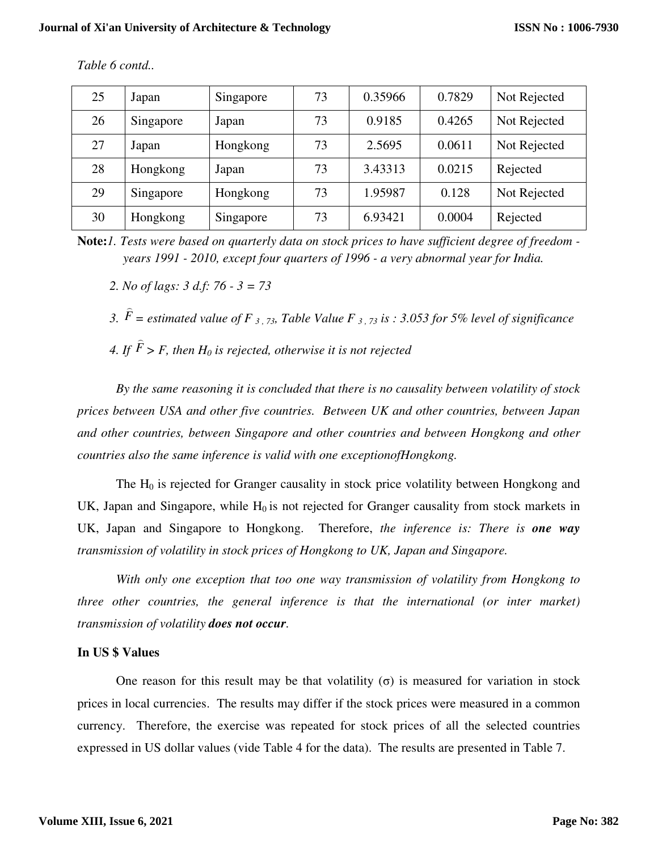| 25 | Japan     | Singapore | 73 | 0.35966 | 0.7829 | Not Rejected |
|----|-----------|-----------|----|---------|--------|--------------|
| 26 | Singapore | Japan     | 73 | 0.9185  | 0.4265 | Not Rejected |
| 27 | Japan     | Hongkong  | 73 | 2.5695  | 0.0611 | Not Rejected |
| 28 | Hongkong  | Japan     | 73 | 3.43313 | 0.0215 | Rejected     |
| 29 | Singapore | Hongkong  | 73 | 1.95987 | 0.128  | Not Rejected |
| 30 | Hongkong  | Singapore | 73 | 6.93421 | 0.0004 | Rejected     |

*Table 6 contd..* 

 $\overline{a}$ 

 $\overline{a}$ 

**Note:***1. Tests were based on quarterly data on stock prices to have sufficient degree of freedom years 1991 - 2010, except four quarters of 1996 - a very abnormal year for India.* 

 *2. No of lags: 3 d.f: 76 - 3 = 73* 

 *3. F = estimated value of F 3 , 73, Table Value F 3 , 73 is : 3.053 for 5% level of significance* 

 *4. If F > F, then H0 is rejected, otherwise it is not rejected* 

*By the same reasoning it is concluded that there is no causality between volatility of stock prices between USA and other five countries. Between UK and other countries, between Japan and other countries, between Singapore and other countries and between Hongkong and other countries also the same inference is valid with one exceptionofHongkong.* 

The  $H_0$  is rejected for Granger causality in stock price volatility between Hongkong and UK, Japan and Singapore, while  $H_0$  is not rejected for Granger causality from stock markets in UK, Japan and Singapore to Hongkong. Therefore, *the inference is: There is one way transmission of volatility in stock prices of Hongkong to UK, Japan and Singapore.* 

 *With only one exception that too one way transmission of volatility from Hongkong to three other countries, the general inference is that the international (or inter market) transmission of volatility does not occur.*

#### **In US \$ Values**

One reason for this result may be that volatility  $(\sigma)$  is measured for variation in stock prices in local currencies. The results may differ if the stock prices were measured in a common currency. Therefore, the exercise was repeated for stock prices of all the selected countries expressed in US dollar values (vide Table 4 for the data). The results are presented in Table 7.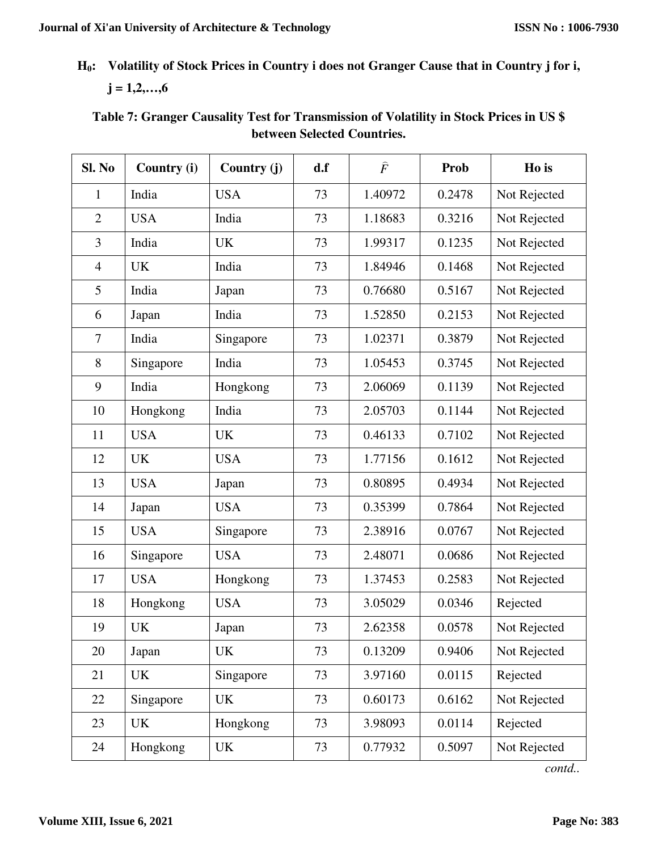**H0: Volatility of Stock Prices in Country i does not Granger Cause that in Country j for i,**   $j = 1, 2, \ldots, 6$ 

**Table 7: Granger Causality Test for Transmission of Volatility in Stock Prices in US \$ between Selected Countries.** 

| Sl. No         | Country (i) | Country (j) | d.f | $\widehat{F}$ | Prob   | Ho is        |
|----------------|-------------|-------------|-----|---------------|--------|--------------|
| $\mathbf{1}$   | India       | <b>USA</b>  | 73  | 1.40972       | 0.2478 | Not Rejected |
| $\overline{2}$ | <b>USA</b>  | India       | 73  | 1.18683       | 0.3216 | Not Rejected |
| $\overline{3}$ | India       | <b>UK</b>   | 73  | 1.99317       | 0.1235 | Not Rejected |
| $\overline{4}$ | <b>UK</b>   | India       | 73  | 1.84946       | 0.1468 | Not Rejected |
| 5              | India       | Japan       | 73  | 0.76680       | 0.5167 | Not Rejected |
| 6              | Japan       | India       | 73  | 1.52850       | 0.2153 | Not Rejected |
| $\tau$         | India       | Singapore   | 73  | 1.02371       | 0.3879 | Not Rejected |
| 8              | Singapore   | India       | 73  | 1.05453       | 0.3745 | Not Rejected |
| 9              | India       | Hongkong    | 73  | 2.06069       | 0.1139 | Not Rejected |
| 10             | Hongkong    | India       | 73  | 2.05703       | 0.1144 | Not Rejected |
| 11             | <b>USA</b>  | <b>UK</b>   | 73  | 0.46133       | 0.7102 | Not Rejected |
| 12             | UK          | <b>USA</b>  | 73  | 1.77156       | 0.1612 | Not Rejected |
| 13             | <b>USA</b>  | Japan       | 73  | 0.80895       | 0.4934 | Not Rejected |
| 14             | Japan       | <b>USA</b>  | 73  | 0.35399       | 0.7864 | Not Rejected |
| 15             | <b>USA</b>  | Singapore   | 73  | 2.38916       | 0.0767 | Not Rejected |
| 16             | Singapore   | <b>USA</b>  | 73  | 2.48071       | 0.0686 | Not Rejected |
| 17             | <b>USA</b>  | Hongkong    | 73  | 1.37453       | 0.2583 | Not Rejected |
| 18             | Hongkong    | <b>USA</b>  | 73  | 3.05029       | 0.0346 | Rejected     |
| 19             | UK          | Japan       | 73  | 2.62358       | 0.0578 | Not Rejected |
| 20             | Japan       | <b>UK</b>   | 73  | 0.13209       | 0.9406 | Not Rejected |
| 21             | <b>UK</b>   | Singapore   | 73  | 3.97160       | 0.0115 | Rejected     |
| 22             | Singapore   | UK          | 73  | 0.60173       | 0.6162 | Not Rejected |
| 23             | UK          | Hongkong    | 73  | 3.98093       | 0.0114 | Rejected     |
| 24             | Hongkong    | UK          | 73  | 0.77932       | 0.5097 | Not Rejected |

*contd..*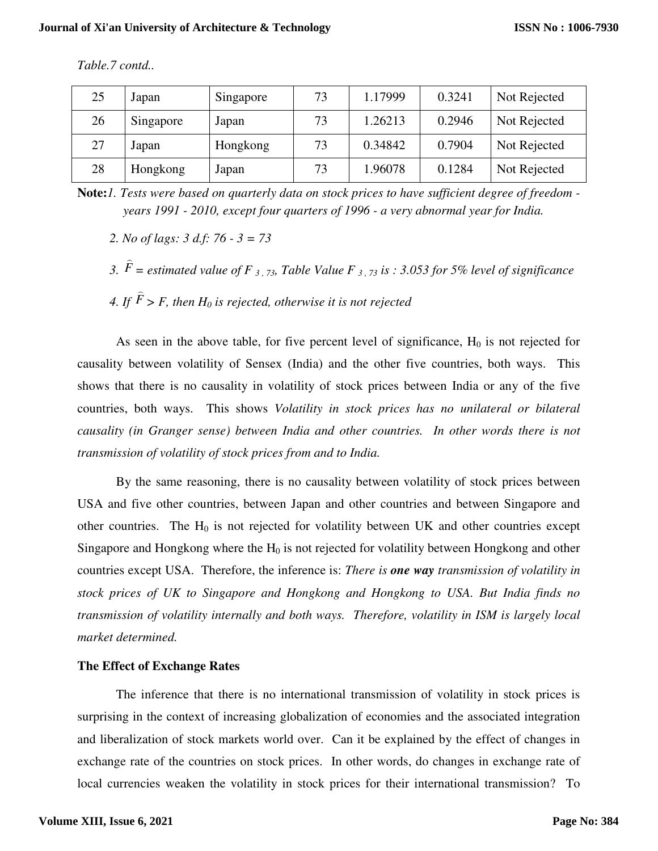| 25 | Japan     | Singapore | 73 | 1.17999 | 0.3241 | Not Rejected |
|----|-----------|-----------|----|---------|--------|--------------|
| 26 | Singapore | Japan     | 73 | 1.26213 | 0.2946 | Not Rejected |
| 27 | Japan     | Hongkong  | 73 | 0.34842 | 0.7904 | Not Rejected |
| 28 | Hongkong  | Japan     | 73 | 1.96078 | 0.1284 | Not Rejected |

*Table.7 contd..* 

)

 $\overline{a}$ 

**Note:***1. Tests were based on quarterly data on stock prices to have sufficient degree of freedom years 1991 - 2010, except four quarters of 1996 - a very abnormal year for India.* 

 *2. No of lags: 3 d.f: 76 - 3 = 73* 

 *3. F = estimated value of F 3 , 73, Table Value F 3 , 73 is : 3.053 for 5% level of significance* 

 *4. If F > F, then H0 is rejected, otherwise it is not rejected* 

As seen in the above table, for five percent level of significance,  $H_0$  is not rejected for causality between volatility of Sensex (India) and the other five countries, both ways. This shows that there is no causality in volatility of stock prices between India or any of the five countries, both ways. This shows *Volatility in stock prices has no unilateral or bilateral causality (in Granger sense) between India and other countries. In other words there is not transmission of volatility of stock prices from and to India.*

 By the same reasoning, there is no causality between volatility of stock prices between USA and five other countries, between Japan and other countries and between Singapore and other countries. The  $H_0$  is not rejected for volatility between UK and other countries except Singapore and Hongkong where the  $H_0$  is not rejected for volatility between Hongkong and other countries except USA. Therefore, the inference is: *There is one way transmission of volatility in stock prices of UK to Singapore and Hongkong and Hongkong to USA. But India finds no transmission of volatility internally and both ways. Therefore, volatility in ISM is largely local market determined.* 

#### **The Effect of Exchange Rates**

 The inference that there is no international transmission of volatility in stock prices is surprising in the context of increasing globalization of economies and the associated integration and liberalization of stock markets world over. Can it be explained by the effect of changes in exchange rate of the countries on stock prices. In other words, do changes in exchange rate of local currencies weaken the volatility in stock prices for their international transmission? To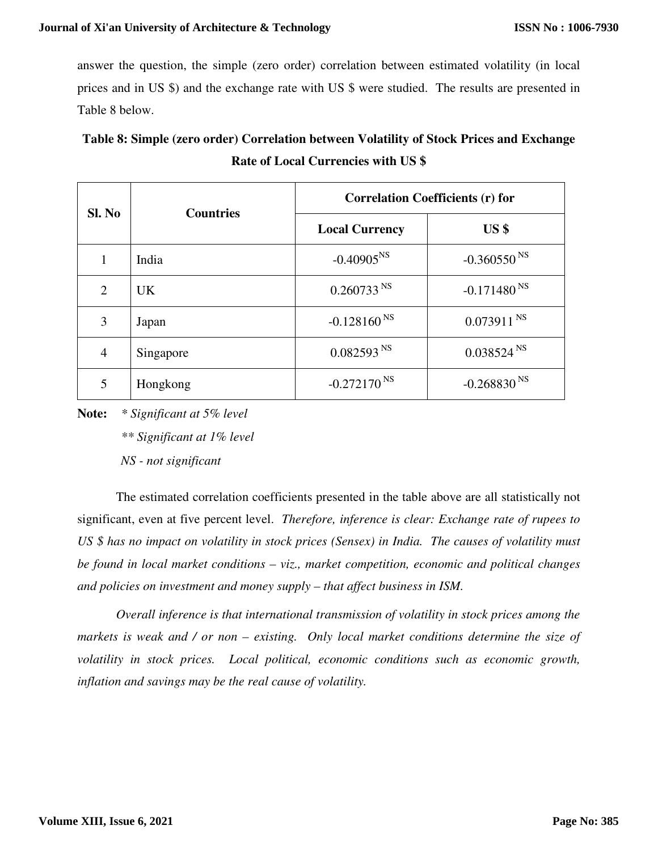answer the question, the simple (zero order) correlation between estimated volatility (in local prices and in US \$) and the exchange rate with US \$ were studied. The results are presented in Table 8 below.

**Table 8: Simple (zero order) Correlation between Volatility of Stock Prices and Exchange Rate of Local Currencies with US \$** 

| Sl. No         | <b>Countries</b> | <b>Correlation Coefficients (r) for</b> |                           |  |  |
|----------------|------------------|-----------------------------------------|---------------------------|--|--|
|                |                  | <b>Local Currency</b>                   | US <sub>3</sub>           |  |  |
|                | India            | $-0.40905^{NS}$                         | $-0.360550$ <sup>NS</sup> |  |  |
| 2              | <b>UK</b>        | $0.260733^{NS}$                         | $-0.171480NS$             |  |  |
| 3              | Japan            | $-0.128160NS$                           | 0.073911 <sup>NS</sup>    |  |  |
| $\overline{4}$ | Singapore        | 0.082593 <sup>NS</sup>                  | 0.038524 <sup>NS</sup>    |  |  |
| 5              | Hongkong         | $-0.272170^{NS}$                        | $-0.268830$ <sup>NS</sup> |  |  |

**Note:** *\* Significant at 5% level* 

 *\*\* Significant at 1% level* 

 *NS - not significant* 

The estimated correlation coefficients presented in the table above are all statistically not significant, even at five percent level. *Therefore, inference is clear: Exchange rate of rupees to US \$ has no impact on volatility in stock prices (Sensex) in India. The causes of volatility must be found in local market conditions – viz., market competition, economic and political changes and policies on investment and money supply – that affect business in ISM.*

 *Overall inference is that international transmission of volatility in stock prices among the markets is weak and / or non – existing. Only local market conditions determine the size of volatility in stock prices. Local political, economic conditions such as economic growth, inflation and savings may be the real cause of volatility.*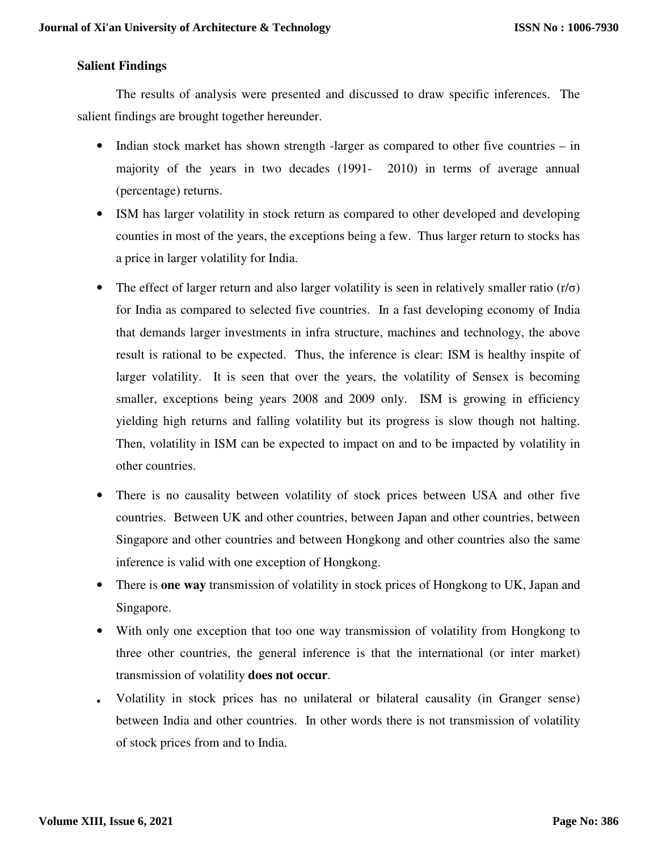#### **Salient Findings**

The results of analysis were presented and discussed to draw specific inferences. The salient findings are brought together hereunder.

- Indian stock market has shown strength -larger as compared to other five countries in majority of the years in two decades (1991- 2010) in terms of average annual (percentage) returns.
- ISM has larger volatility in stock return as compared to other developed and developing counties in most of the years, the exceptions being a few. Thus larger return to stocks has a price in larger volatility for India.
- The effect of larger return and also larger volatility is seen in relatively smaller ratio  $(r/\sigma)$ for India as compared to selected five countries. In a fast developing economy of India that demands larger investments in infra structure, machines and technology, the above result is rational to be expected. Thus, the inference is clear: ISM is healthy inspite of larger volatility. It is seen that over the years, the volatility of Sensex is becoming smaller, exceptions being years 2008 and 2009 only. ISM is growing in efficiency yielding high returns and falling volatility but its progress is slow though not halting. Then, volatility in ISM can be expected to impact on and to be impacted by volatility in other countries.
- There is no causality between volatility of stock prices between USA and other five countries. Between UK and other countries, between Japan and other countries, between Singapore and other countries and between Hongkong and other countries also the same inference is valid with one exception of Hongkong.
- There is **one way** transmission of volatility in stock prices of Hongkong to UK, Japan and Singapore.
- With only one exception that too one way transmission of volatility from Hongkong to three other countries, the general inference is that the international (or inter market) transmission of volatility **does not occur**.
- Volatility in stock prices has no unilateral or bilateral causality (in Granger sense) between India and other countries. In other words there is not transmission of volatility of stock prices from and to India.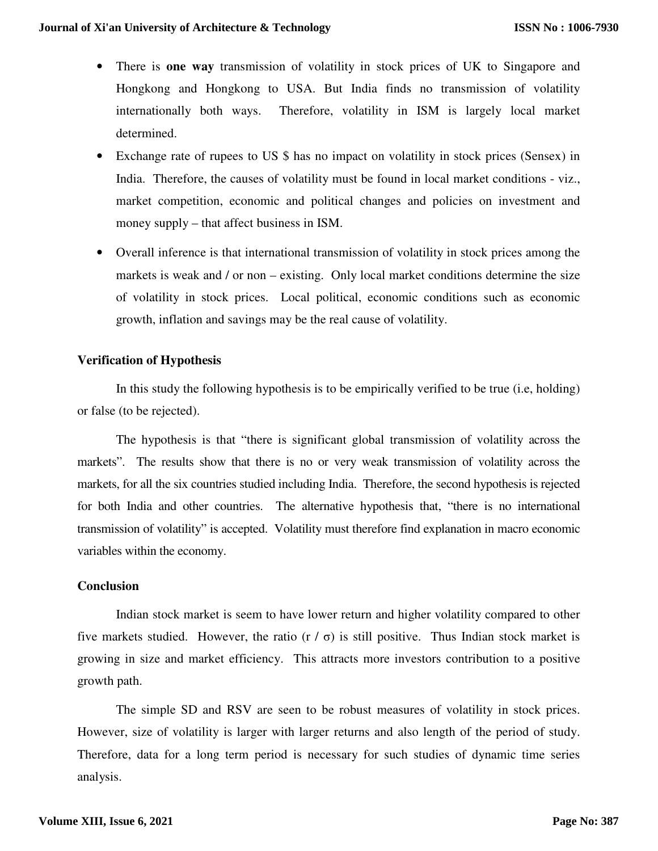- There is **one way** transmission of volatility in stock prices of UK to Singapore and Hongkong and Hongkong to USA. But India finds no transmission of volatility internationally both ways. Therefore, volatility in ISM is largely local market determined.
- Exchange rate of rupees to US \$ has no impact on volatility in stock prices (Sensex) in India. Therefore, the causes of volatility must be found in local market conditions - viz., market competition, economic and political changes and policies on investment and money supply – that affect business in ISM.
- Overall inference is that international transmission of volatility in stock prices among the markets is weak and / or non – existing. Only local market conditions determine the size of volatility in stock prices. Local political, economic conditions such as economic growth, inflation and savings may be the real cause of volatility.

#### **Verification of Hypothesis**

In this study the following hypothesis is to be empirically verified to be true (i.e, holding) or false (to be rejected).

The hypothesis is that "there is significant global transmission of volatility across the markets". The results show that there is no or very weak transmission of volatility across the markets, for all the six countries studied including India. Therefore, the second hypothesis is rejected for both India and other countries. The alternative hypothesis that, "there is no international transmission of volatility" is accepted. Volatility must therefore find explanation in macro economic variables within the economy.

#### **Conclusion**

Indian stock market is seem to have lower return and higher volatility compared to other five markets studied. However, the ratio  $(r / \sigma)$  is still positive. Thus Indian stock market is growing in size and market efficiency. This attracts more investors contribution to a positive growth path.

The simple SD and RSV are seen to be robust measures of volatility in stock prices. However, size of volatility is larger with larger returns and also length of the period of study. Therefore, data for a long term period is necessary for such studies of dynamic time series analysis.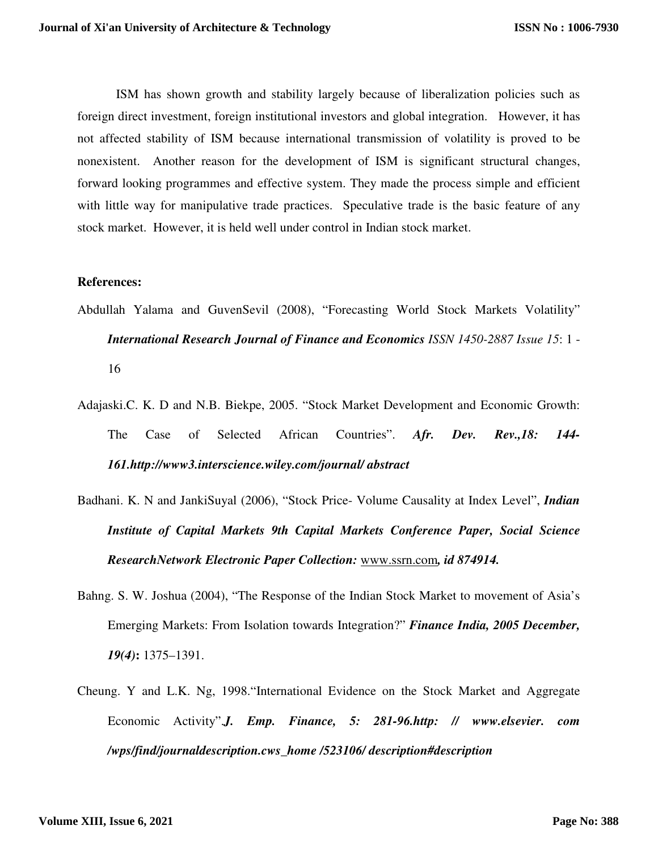ISM has shown growth and stability largely because of liberalization policies such as foreign direct investment, foreign institutional investors and global integration. However, it has not affected stability of ISM because international transmission of volatility is proved to be nonexistent. Another reason for the development of ISM is significant structural changes, forward looking programmes and effective system. They made the process simple and efficient with little way for manipulative trade practices. Speculative trade is the basic feature of any stock market. However, it is held well under control in Indian stock market.

#### **References:**

- Abdullah Yalama and GuvenSevil (2008), "Forecasting World Stock Markets Volatility" *International Research Journal of Finance and Economics ISSN 1450-2887 Issue 15*: 1 - 16
- Adajaski.C. K. D and N.B. Biekpe, 2005. "Stock Market Development and Economic Growth: The Case of Selected African Countries". *Afr. Dev. Rev.,18: 144- 161.http://www3.interscience.wiley.com/journal/ abstract*
- Badhani. K. N and JankiSuyal (2006), "Stock Price- Volume Causality at Index Level", *Indian Institute of Capital Markets 9th Capital Markets Conference Paper, Social Science ResearchNetwork Electronic Paper Collection:* www.ssrn.com*, id 874914.*
- Bahng. S. W. Joshua (2004), "The Response of the Indian Stock Market to movement of Asia's Emerging Markets: From Isolation towards Integration?" *Finance India, 2005 December, 19(4)***:** 1375–1391.
- Cheung. Y and L.K. Ng, 1998."International Evidence on the Stock Market and Aggregate Economic Activity".*J. Emp. Finance, 5: 281-96.http: // www.elsevier. com /wps/find/journaldescription.cws\_home /523106/ description#description*